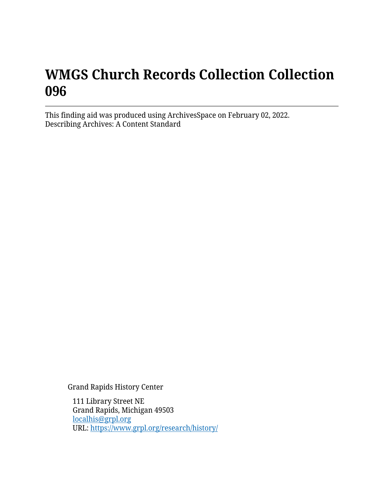# **WMGS Church Records Collection Collection 096**

This finding aid was produced using ArchivesSpace on February 02, 2022. Describing Archives: A Content Standard

Grand Rapids History Center

111 Library Street NE Grand Rapids, Michigan 49503 [localhis@grpl.org](mailto:localhis@grpl.org) URL:<https://www.grpl.org/research/history/>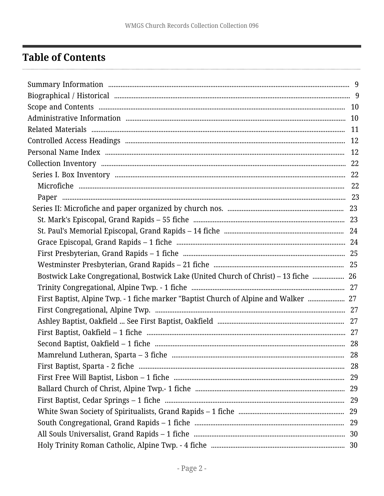# <span id="page-1-0"></span>**Table of Contents**

| Bostwick Lake Congregational, Bostwick Lake (United Church of Christ) – 13 fiche  26 |     |
|--------------------------------------------------------------------------------------|-----|
|                                                                                      |     |
| First Baptist, Alpine Twp. - 1 fiche marker "Baptist Church of Alpine and Walker  27 |     |
|                                                                                      |     |
|                                                                                      |     |
|                                                                                      |     |
|                                                                                      |     |
|                                                                                      | -28 |
|                                                                                      |     |
|                                                                                      |     |
|                                                                                      |     |
|                                                                                      |     |
|                                                                                      |     |
|                                                                                      |     |
|                                                                                      |     |
|                                                                                      |     |
|                                                                                      |     |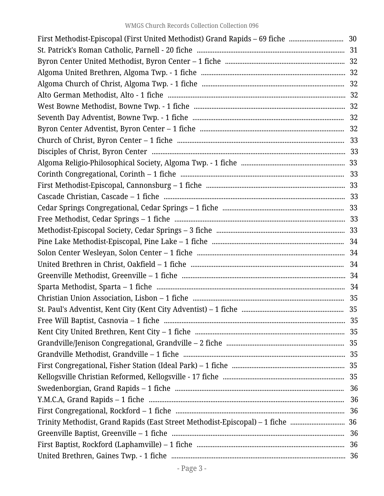| First Methodist-Episcopal (First United Methodist) Grand Rapids - 69 fiche  30  |  |  |  |
|---------------------------------------------------------------------------------|--|--|--|
|                                                                                 |  |  |  |
|                                                                                 |  |  |  |
|                                                                                 |  |  |  |
|                                                                                 |  |  |  |
|                                                                                 |  |  |  |
|                                                                                 |  |  |  |
|                                                                                 |  |  |  |
|                                                                                 |  |  |  |
|                                                                                 |  |  |  |
|                                                                                 |  |  |  |
|                                                                                 |  |  |  |
|                                                                                 |  |  |  |
|                                                                                 |  |  |  |
|                                                                                 |  |  |  |
|                                                                                 |  |  |  |
|                                                                                 |  |  |  |
|                                                                                 |  |  |  |
|                                                                                 |  |  |  |
|                                                                                 |  |  |  |
|                                                                                 |  |  |  |
|                                                                                 |  |  |  |
|                                                                                 |  |  |  |
|                                                                                 |  |  |  |
|                                                                                 |  |  |  |
|                                                                                 |  |  |  |
|                                                                                 |  |  |  |
|                                                                                 |  |  |  |
|                                                                                 |  |  |  |
|                                                                                 |  |  |  |
|                                                                                 |  |  |  |
|                                                                                 |  |  |  |
|                                                                                 |  |  |  |
|                                                                                 |  |  |  |
| Trinity Methodist, Grand Rapids (East Street Methodist-Episcopal) – 1 fiche  36 |  |  |  |
|                                                                                 |  |  |  |
|                                                                                 |  |  |  |
|                                                                                 |  |  |  |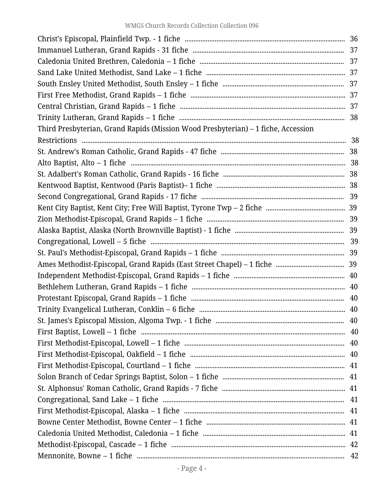| Third Presbyterian, Grand Rapids (Mission Wood Presbyterian) – 1 fiche, Accession |  |  |  |
|-----------------------------------------------------------------------------------|--|--|--|
|                                                                                   |  |  |  |
|                                                                                   |  |  |  |
|                                                                                   |  |  |  |
|                                                                                   |  |  |  |
|                                                                                   |  |  |  |
|                                                                                   |  |  |  |
|                                                                                   |  |  |  |
|                                                                                   |  |  |  |
|                                                                                   |  |  |  |
|                                                                                   |  |  |  |
|                                                                                   |  |  |  |
|                                                                                   |  |  |  |
|                                                                                   |  |  |  |
|                                                                                   |  |  |  |
|                                                                                   |  |  |  |
|                                                                                   |  |  |  |
|                                                                                   |  |  |  |
|                                                                                   |  |  |  |
|                                                                                   |  |  |  |
|                                                                                   |  |  |  |
|                                                                                   |  |  |  |
|                                                                                   |  |  |  |
|                                                                                   |  |  |  |
|                                                                                   |  |  |  |
|                                                                                   |  |  |  |
|                                                                                   |  |  |  |
|                                                                                   |  |  |  |
|                                                                                   |  |  |  |
|                                                                                   |  |  |  |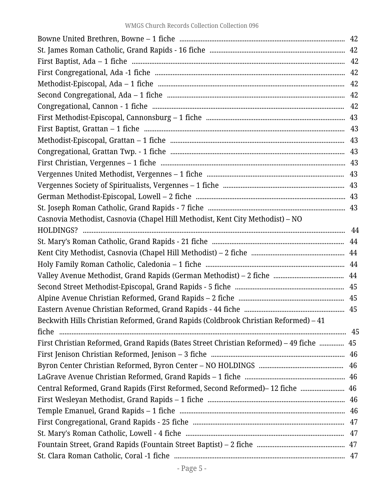| Casnovia Methodist, Casnovia (Chapel Hill Methodist, Kent City Methodist) - NO          |  |  |  |
|-----------------------------------------------------------------------------------------|--|--|--|
|                                                                                         |  |  |  |
|                                                                                         |  |  |  |
|                                                                                         |  |  |  |
|                                                                                         |  |  |  |
|                                                                                         |  |  |  |
|                                                                                         |  |  |  |
|                                                                                         |  |  |  |
|                                                                                         |  |  |  |
| Beckwith Hills Christian Reformed, Grand Rapids (Coldbrook Christian Reformed) – 41     |  |  |  |
|                                                                                         |  |  |  |
| First Christian Reformed, Grand Rapids (Bates Street Christian Reformed) – 49 fiche  45 |  |  |  |
|                                                                                         |  |  |  |
|                                                                                         |  |  |  |
|                                                                                         |  |  |  |
| Central Reformed, Grand Rapids (First Reformed, Second Reformed)-12 fiche  46           |  |  |  |
|                                                                                         |  |  |  |
|                                                                                         |  |  |  |
|                                                                                         |  |  |  |
|                                                                                         |  |  |  |
|                                                                                         |  |  |  |
|                                                                                         |  |  |  |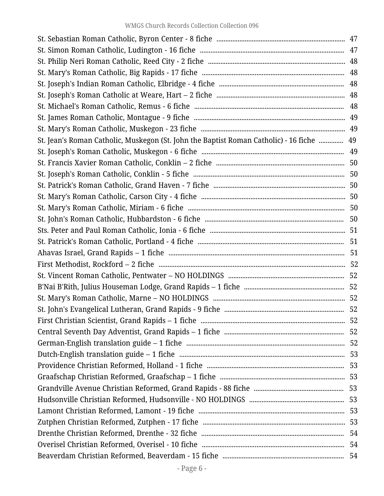| St. Jean's Roman Catholic, Muskegon (St. John the Baptist Roman Catholic) - 16 fiche  49 |  |  |  |
|------------------------------------------------------------------------------------------|--|--|--|
|                                                                                          |  |  |  |
|                                                                                          |  |  |  |
|                                                                                          |  |  |  |
|                                                                                          |  |  |  |
|                                                                                          |  |  |  |
|                                                                                          |  |  |  |
|                                                                                          |  |  |  |
|                                                                                          |  |  |  |
|                                                                                          |  |  |  |
|                                                                                          |  |  |  |
|                                                                                          |  |  |  |
|                                                                                          |  |  |  |
|                                                                                          |  |  |  |
|                                                                                          |  |  |  |
|                                                                                          |  |  |  |
|                                                                                          |  |  |  |
|                                                                                          |  |  |  |
|                                                                                          |  |  |  |
|                                                                                          |  |  |  |
|                                                                                          |  |  |  |
|                                                                                          |  |  |  |
|                                                                                          |  |  |  |
|                                                                                          |  |  |  |
|                                                                                          |  |  |  |
|                                                                                          |  |  |  |
|                                                                                          |  |  |  |
|                                                                                          |  |  |  |
|                                                                                          |  |  |  |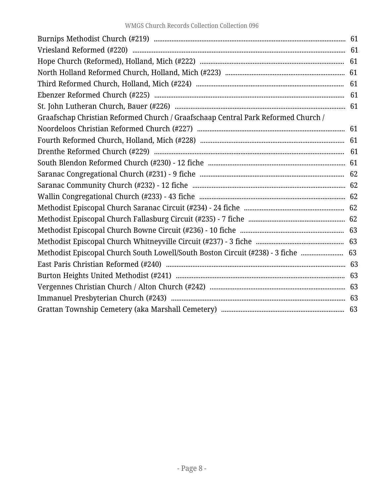| Graafschap Christian Reformed Church / Graafschaap Central Park Reformed Church / |  |  |  |
|-----------------------------------------------------------------------------------|--|--|--|
|                                                                                   |  |  |  |
|                                                                                   |  |  |  |
|                                                                                   |  |  |  |
|                                                                                   |  |  |  |
|                                                                                   |  |  |  |
|                                                                                   |  |  |  |
|                                                                                   |  |  |  |
|                                                                                   |  |  |  |
|                                                                                   |  |  |  |
|                                                                                   |  |  |  |
|                                                                                   |  |  |  |
| Methodist Episcopal Church South Lowell/South Boston Circuit (#238) - 3 fiche  63 |  |  |  |
|                                                                                   |  |  |  |
|                                                                                   |  |  |  |
|                                                                                   |  |  |  |
|                                                                                   |  |  |  |
|                                                                                   |  |  |  |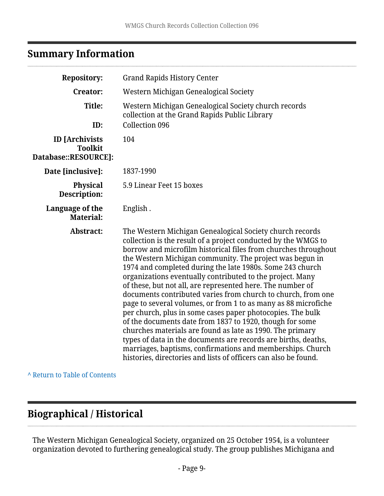# <span id="page-8-0"></span>**Summary Information**

| <b>Repository:</b>                                              | <b>Grand Rapids History Center</b>                                                                                                                                                                                                                                                                                                                                                                                                                                                                                                                                                                                                                                                                                                                                                                                                                                                                                                                                           |  |
|-----------------------------------------------------------------|------------------------------------------------------------------------------------------------------------------------------------------------------------------------------------------------------------------------------------------------------------------------------------------------------------------------------------------------------------------------------------------------------------------------------------------------------------------------------------------------------------------------------------------------------------------------------------------------------------------------------------------------------------------------------------------------------------------------------------------------------------------------------------------------------------------------------------------------------------------------------------------------------------------------------------------------------------------------------|--|
| <b>Creator:</b>                                                 | Western Michigan Genealogical Society                                                                                                                                                                                                                                                                                                                                                                                                                                                                                                                                                                                                                                                                                                                                                                                                                                                                                                                                        |  |
| Title:<br>ID:                                                   | Western Michigan Genealogical Society church records<br>collection at the Grand Rapids Public Library<br><b>Collection 096</b>                                                                                                                                                                                                                                                                                                                                                                                                                                                                                                                                                                                                                                                                                                                                                                                                                                               |  |
| <b>ID</b> [Archivists<br><b>Toolkit</b><br>Database::RESOURCE]: | 104                                                                                                                                                                                                                                                                                                                                                                                                                                                                                                                                                                                                                                                                                                                                                                                                                                                                                                                                                                          |  |
| Date [inclusive]:                                               | 1837-1990                                                                                                                                                                                                                                                                                                                                                                                                                                                                                                                                                                                                                                                                                                                                                                                                                                                                                                                                                                    |  |
| <b>Physical</b><br>Description:                                 | 5.9 Linear Feet 15 boxes                                                                                                                                                                                                                                                                                                                                                                                                                                                                                                                                                                                                                                                                                                                                                                                                                                                                                                                                                     |  |
| Language of the<br><b>Material:</b>                             | English.                                                                                                                                                                                                                                                                                                                                                                                                                                                                                                                                                                                                                                                                                                                                                                                                                                                                                                                                                                     |  |
| Abstract:                                                       | The Western Michigan Genealogical Society church records<br>collection is the result of a project conducted by the WMGS to<br>borrow and microfilm historical files from churches throughout<br>the Western Michigan community. The project was begun in<br>1974 and completed during the late 1980s. Some 243 church<br>organizations eventually contributed to the project. Many<br>of these, but not all, are represented here. The number of<br>documents contributed varies from church to church, from one<br>page to several volumes, or from 1 to as many as 88 microfiche<br>per church, plus in some cases paper photocopies. The bulk<br>of the documents date from 1837 to 1920, though for some<br>churches materials are found as late as 1990. The primary<br>types of data in the documents are records are births, deaths,<br>marriages, baptisms, confirmations and memberships. Church<br>histories, directories and lists of officers can also be found. |  |

**^** [Return to Table of Contents](#page-1-0)

# <span id="page-8-1"></span>**Biographical / Historical**

The Western Michigan Genealogical Society, organized on 25 October 1954, is a volunteer organization devoted to furthering genealogical study. The group publishes Michigana and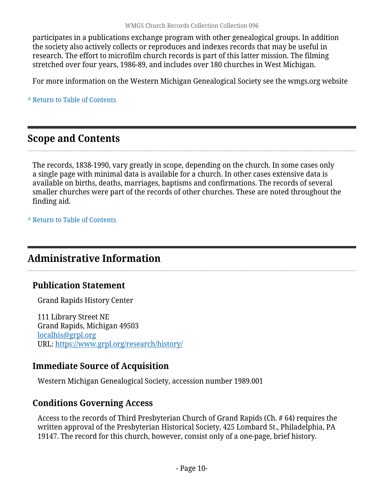participates in a publications exchange program with other genealogical groups. In addition the society also actively collects or reproduces and indexes records that may be useful in research. The effort to microfilm church records is part of this latter mission. The filming stretched over four years, 1986-89, and includes over 180 churches in West Michigan.

For more information on the Western Michigan Genealogical Society see the wmgs.org website

**^** [Return to Table of Contents](#page-1-0)

# <span id="page-9-0"></span>**Scope and Contents**

The records, 1838-1990, vary greatly in scope, depending on the church. In some cases only a single page with minimal data is available for a church. In other cases extensive data is available on births, deaths, marriages, baptisms and confirmations. The records of several smaller churches were part of the records of other churches. These are noted throughout the finding aid.

**^** [Return to Table of Contents](#page-1-0)

# <span id="page-9-1"></span>**Administrative Information**

## **Publication Statement**

Grand Rapids History Center

111 Library Street NE Grand Rapids, Michigan 49503 [localhis@grpl.org](mailto:localhis@grpl.org) URL:<https://www.grpl.org/research/history/>

## **Immediate Source of Acquisition**

Western Michigan Genealogical Society, accession number 1989.001

## **Conditions Governing Access**

Access to the records of Third Presbyterian Church of Grand Rapids (Ch. # 64) requires the written approval of the Presbyterian Historical Society, 425 Lombard St., Philadelphia, PA 19147. The record for this church, however, consist only of a one-page, brief history.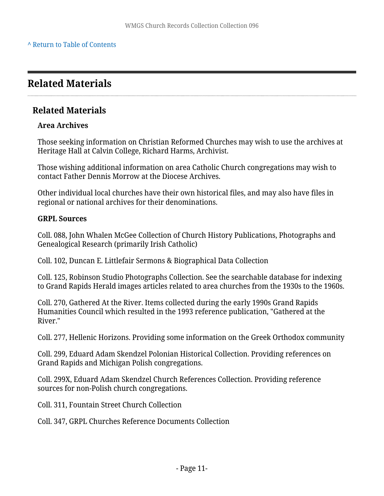# <span id="page-10-0"></span>**Related Materials**

#### **Related Materials**

#### **Area Archives**

Those seeking information on Christian Reformed Churches may wish to use the archives at Heritage Hall at Calvin College, Richard Harms, Archivist.

Those wishing additional information on area Catholic Church congregations may wish to contact Father Dennis Morrow at the Diocese Archives.

Other individual local churches have their own historical files, and may also have files in regional or national archives for their denominations.

#### **GRPL Sources**

Coll. 088, John Whalen McGee Collection of Church History Publications, Photographs and Genealogical Research (primarily Irish Catholic)

Coll. 102, Duncan E. Littlefair Sermons & Biographical Data Collection

Coll. 125, Robinson Studio Photographs Collection. See the searchable database for indexing to Grand Rapids Herald images articles related to area churches from the 1930s to the 1960s.

Coll. 270, Gathered At the River. Items collected during the early 1990s Grand Rapids Humanities Council which resulted in the 1993 reference publication, "Gathered at the River."

Coll. 277, Hellenic Horizons. Providing some information on the Greek Orthodox community

Coll. 299, Eduard Adam Skendzel Polonian Historical Collection. Providing references on Grand Rapids and Michigan Polish congregations.

Coll. 299X, Eduard Adam Skendzel Church References Collection. Providing reference sources for non-Polish church congregations.

Coll. 311, Fountain Street Church Collection

Coll. 347, GRPL Churches Reference Documents Collection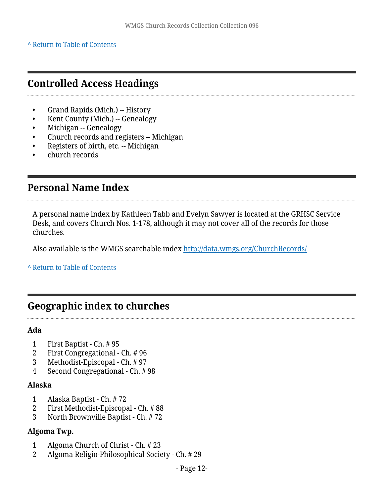#### **^** [Return to Table of Contents](#page-1-0)

## <span id="page-11-0"></span>**Controlled Access Headings**

- Grand Rapids (Mich.) -- History
- Kent County (Mich.) -- Genealogy
- Michigan -- Genealogy
- Church records and registers -- Michigan
- Registers of birth, etc. -- Michigan
- church records

## <span id="page-11-1"></span>**Personal Name Index**

A personal name index by Kathleen Tabb and Evelyn Sawyer is located at the GRHSC Service Desk, and covers Church Nos. 1-178, although it may not cover all of the records for those churches.

Also available is the WMGS searchable index <http://data.wmgs.org/ChurchRecords/>

**^** [Return to Table of Contents](#page-1-0)

# **Geographic index to churches**

#### **Ada**

- 1 First Baptist Ch. # 95
- 2 First Congregational Ch. # 96
- 3 Methodist-Episcopal Ch. # 97
- 4 Second Congregational Ch. # 98

#### **Alaska**

- 1 Alaska Baptist Ch. # 72
- 2 First Methodist-Episcopal Ch. # 88
- 3 North Brownville Baptist Ch. # 72

#### **Algoma Twp.**

- 1 Algoma Church of Christ Ch. # 23
- 2 Algoma Religio-Philosophical Society Ch. # 29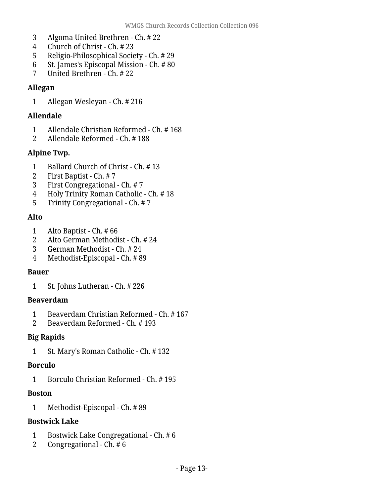- 3 Algoma United Brethren Ch. # 22
- 4 Church of Christ Ch. # 23<br>5 Religio-Philosophical Socie
- 5 Religio-Philosophical Society Ch. # 29
- 6 St. James's Episcopal Mission Ch. # 80
- 7 United Brethren Ch. # 22

#### **Allegan**

1 Allegan Wesleyan - Ch. # 216

#### **Allendale**

- 1 Allendale Christian Reformed Ch. # 168<br>2 Allendale Reformed Ch. # 188
- 2 Allendale Reformed Ch. # 188

#### **Alpine Twp.**

- 1 Ballard Church of Christ Ch. # 13<br>2 First Baptist Ch. # 7
- 2 First Baptist Ch. # 7
- 3 First Congregational Ch. # 7
- 4 Holy Trinity Roman Catholic Ch. # 18
- 5 Trinity Congregational Ch. # 7

#### **Alto**

- 1 Alto Baptist Ch. # 66
- 2 Alto German Methodist Ch. # 24
- 3 German Methodist Ch. # 24
- 4 Methodist-Episcopal Ch. # 89

#### **Bauer**

1 St. Johns Lutheran - Ch. # 226

#### **Beaverdam**

- 1 Beaverdam Christian Reformed Ch. # 167
- 2 Beaverdam Reformed Ch. # 193

#### **Big Rapids**

1 St. Mary's Roman Catholic - Ch. # 132

#### **Borculo**

1 Borculo Christian Reformed - Ch. # 195

#### **Boston**

1 Methodist-Episcopal - Ch. # 89

#### **Bostwick Lake**

- 1 Bostwick Lake Congregational Ch. # 6<br>2 Congregational Ch. # 6
- 2 Congregational Ch. # 6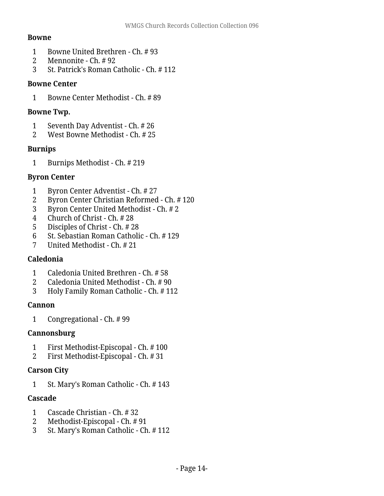#### **Bowne**

- 1 Bowne United Brethren Ch. # 93
- 2 Mennonite Ch. # 92<br>3 St. Patrick's Roman C
- 3 St. Patrick's Roman Catholic Ch. # 112

#### **Bowne Center**

1 Bowne Center Methodist - Ch. # 89

#### **Bowne Twp.**

- 1 Seventh Day Adventist Ch. # 26
- 2 West Bowne Methodist Ch. # 25

#### **Burnips**

1 Burnips Methodist - Ch. # 219

#### **Byron Center**

- 1 Byron Center Adventist Ch. # 27
- 2 Byron Center Christian Reformed Ch. # 120
- 3 Byron Center United Methodist Ch. # 2
- 4 Church of Christ Ch. # 28
- 5 Disciples of Christ Ch. # 28<br>6 St. Sebastian Roman Catholi
- 6 St. Sebastian Roman Catholic Ch.  $\#$  129<br>7 Inited Methodist Ch.  $\#$  21
- 7 United Methodist Ch. # 21

#### **Caledonia**

- 1 Caledonia United Brethren Ch. # 58
- 2 Caledonia United Methodist Ch. # 90
- 3 Holy Family Roman Catholic Ch. # 112

#### **Cannon**

1 Congregational - Ch. # 99

#### **Cannonsburg**

- 1 First Methodist-Episcopal Ch. # 100
- 2 First Methodist-Episcopal Ch. # 31

#### **Carson City**

1 St. Mary's Roman Catholic - Ch. # 143

#### **Cascade**

- 1 Cascade Christian Ch. # 32
- 2 Methodist-Episcopal Ch. # 91
- 3 St. Mary's Roman Catholic Ch. # 112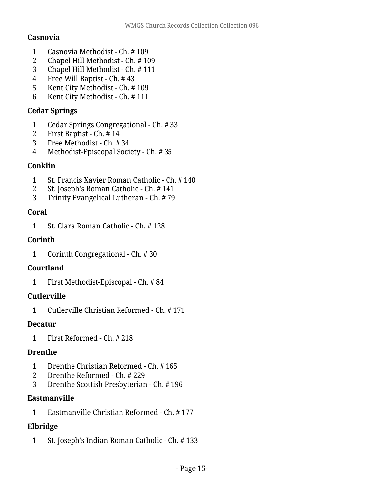#### **Casnovia**

- Casnovia Methodist Ch. # 109
- 2 Chapel Hill Methodist Ch. # 109<br>3 Chapel Hill Methodist Ch. # 111
- Chapel Hill Methodist Ch. # 111
- Free Will Baptist Ch. # 43
- Kent City Methodist Ch. # 109
- Kent City Methodist Ch. # 111

#### **Cedar Springs**

- Cedar Springs Congregational Ch. # 33
- First Baptist Ch. # 14
- Free Methodist Ch. # 34
- Methodist-Episcopal Society Ch. # 35

#### **Conklin**

- St. Francis Xavier Roman Catholic Ch. # 140
- St. Joseph's Roman Catholic Ch. # 141
- Trinity Evangelical Lutheran Ch. # 79

#### **Coral**

St. Clara Roman Catholic - Ch. # 128

#### **Corinth**

Corinth Congregational - Ch. # 30

#### **Courtland**

First Methodist-Episcopal - Ch. # 84

#### **Cutlerville**

Cutlerville Christian Reformed - Ch. # 171

#### **Decatur**

First Reformed - Ch. # 218

#### **Drenthe**

- Drenthe Christian Reformed Ch. # 165
- Drenthe Reformed Ch. # 229
- Drenthe Scottish Presbyterian Ch. # 196

#### **Eastmanville**

Eastmanville Christian Reformed - Ch. # 177

## **Elbridge**

St. Joseph's Indian Roman Catholic - Ch. # 133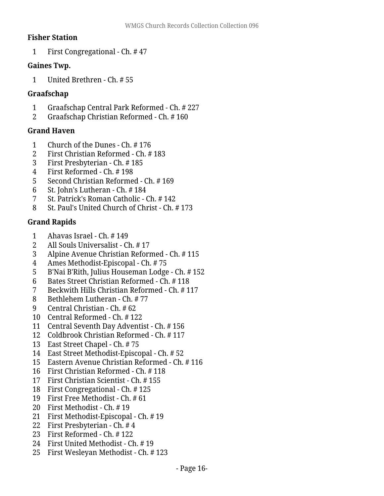#### **Fisher Station**

First Congregational - Ch. # 47

#### **Gaines Twp.**

United Brethren - Ch. # 55

#### **Graafschap**

- Graafschap Central Park Reformed Ch. # 227
- Graafschap Christian Reformed Ch. # 160

#### **Grand Haven**

- Church of the Dunes Ch. # 176
- First Christian Reformed Ch. # 183
- First Presbyterian Ch. # 185
- First Reformed Ch. # 198
- 5 Second Christian Reformed Ch. # 169<br>6 St. John's Lutheran Ch. # 184
- St. John's Lutheran Ch. # 184
- St. Patrick's Roman Catholic Ch. # 142
- St. Paul's United Church of Christ Ch. # 173

#### **Grand Rapids**

- 1 Ahavas Israel Ch. # 149<br>2 All Souls Universalist C
- All Souls Universalist Ch. # 17
- Alpine Avenue Christian Reformed Ch. # 115
- Ames Methodist-Episcopal Ch. # 75
- B'Nai B'Rith, Julius Houseman Lodge Ch. # 152
- Bates Street Christian Reformed Ch. # 118
- Beckwith Hills Christian Reformed Ch. # 117
- Bethlehem Lutheran Ch. # 77
- Central Christian Ch. # 62
- Central Reformed Ch. # 122
- Central Seventh Day Adventist Ch. # 156
- Coldbrook Christian Reformed Ch. # 117
- East Street Chapel Ch. # 75
- East Street Methodist-Episcopal Ch. # 52
- Eastern Avenue Christian Reformed Ch. # 116
- First Christian Reformed Ch. # 118
- First Christian Scientist Ch. # 155
- First Congregational Ch. # 125
- First Free Methodist Ch. # 61
- First Methodist Ch. # 19
- First Methodist-Episcopal Ch. # 19
- First Presbyterian Ch. # 4
- First Reformed Ch. # 122
- First United Methodist Ch. # 19
- First Wesleyan Methodist Ch. # 123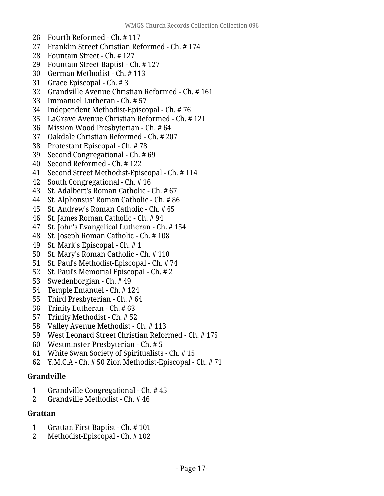- Fourth Reformed Ch. # 117
- Franklin Street Christian Reformed Ch. # 174
- Fountain Street Ch. # 127
- Fountain Street Baptist Ch. # 127
- German Methodist Ch. # 113
- Grace Episcopal Ch. # 3
- Grandville Avenue Christian Reformed Ch. # 161
- Immanuel Lutheran Ch. # 57
- Independent Methodist-Episcopal Ch. # 76
- LaGrave Avenue Christian Reformed Ch. # 121
- Mission Wood Presbyterian Ch. # 64
- Oakdale Christian Reformed Ch. # 207
- Protestant Episcopal Ch. # 78
- Second Congregational Ch. # 69
- Second Reformed Ch. # 122
- Second Street Methodist-Episcopal Ch. # 114
- South Congregational Ch. # 16
- St. Adalbert's Roman Catholic Ch. # 67
- St. Alphonsus' Roman Catholic Ch. # 86
- St. Andrew's Roman Catholic Ch. # 65
- St. James Roman Catholic Ch. # 94
- St. John's Evangelical Lutheran Ch. # 154
- St. Joseph Roman Catholic Ch. # 108
- St. Mark's Episcopal Ch. # 1
- St. Mary's Roman Catholic Ch. # 110
- St. Paul's Methodist-Episcopal Ch. # 74
- St. Paul's Memorial Episcopal Ch. # 2
- Swedenborgian Ch. # 49
- Temple Emanuel Ch. # 124
- Third Presbyterian Ch. # 64
- Trinity Lutheran Ch. # 63
- Trinity Methodist Ch. # 52
- Valley Avenue Methodist Ch. # 113
- West Leonard Street Christian Reformed Ch. # 175
- Westminster Presbyterian Ch. # 5
- White Swan Society of Spiritualists Ch. # 15
- Y.M.C.A Ch. # 50 Zion Methodist-Episcopal Ch. # 71

#### **Grandville**

- Grandville Congregational Ch. # 45
- Grandville Methodist Ch. # 46

#### **Grattan**

- Grattan First Baptist Ch. # 101
- Methodist-Episcopal Ch. # 102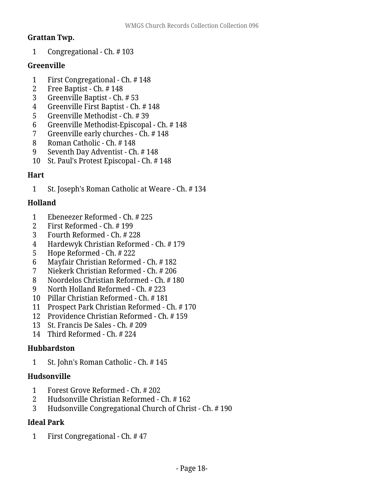#### **Grattan Twp.**

Congregational - Ch. # 103

#### **Greenville**

- First Congregational Ch. # 148
- Free Baptist Ch. # 148
- Greenville Baptist Ch. # 53
- Greenville First Baptist Ch. # 148
- Greenville Methodist Ch. # 39
- Greenville Methodist-Episcopal Ch. # 148
- Greenville early churches Ch. # 148
- Roman Catholic Ch. # 148
- Seventh Day Adventist Ch. # 148
- St. Paul's Protest Episcopal Ch. # 148

### **Hart**

St. Joseph's Roman Catholic at Weare - Ch. # 134

### **Holland**

- Ebeneezer Reformed Ch. # 225
- First Reformed Ch. # 199
- Fourth Reformed Ch. # 228
- Hardewyk Christian Reformed Ch. # 179
- Hope Reformed Ch. # 222
- Mayfair Christian Reformed Ch. # 182
- Niekerk Christian Reformed Ch. # 206
- Noordelos Christian Reformed Ch. # 180
- North Holland Reformed Ch. # 223
- Pillar Christian Reformed Ch. # 181
- Prospect Park Christian Reformed Ch. # 170
- Providence Christian Reformed Ch. # 159
- St. Francis De Sales Ch. # 209
- Third Reformed Ch. # 224

#### **Hubbardston**

St. John's Roman Catholic - Ch. # 145

#### **Hudsonville**

- Forest Grove Reformed Ch. # 202
- Hudsonville Christian Reformed Ch. # 162
- Hudsonville Congregational Church of Christ Ch. # 190

#### **Ideal Park**

First Congregational - Ch. # 47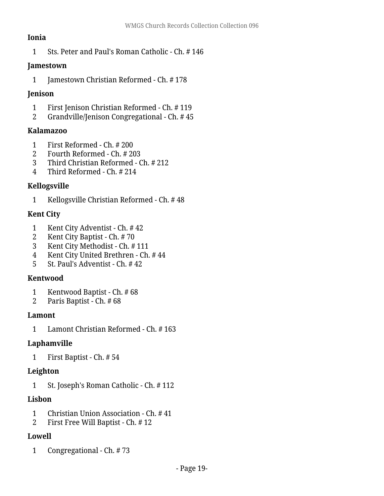#### **Ionia**

Sts. Peter and Paul's Roman Catholic - Ch. # 146

#### **Jamestown**

Jamestown Christian Reformed - Ch. # 178

#### **Jenison**

- First Jenison Christian Reformed Ch. # 119
- Grandville/Jenison Congregational Ch. # 45

#### **Kalamazoo**

- First Reformed Ch. # 200
- Fourth Reformed Ch. # 203
- Third Christian Reformed Ch. # 212
- Third Reformed Ch. # 214

### **Kellogsville**

Kellogsville Christian Reformed - Ch. # 48

### **Kent City**

- Kent City Adventist Ch. # 42
- Kent City Baptist Ch. # 70
- Kent City Methodist Ch. # 111
- Kent City United Brethren Ch. # 44
- St. Paul's Adventist Ch. # 42

## **Kentwood**

- Kentwood Baptist Ch. # 68
- Paris Baptist Ch. # 68

#### **Lamont**

Lamont Christian Reformed - Ch. # 163

## **Laphamville**

First Baptist - Ch. # 54

## **Leighton**

St. Joseph's Roman Catholic - Ch. # 112

## **Lisbon**

- Christian Union Association Ch. # 41
- First Free Will Baptist Ch. # 12

## **Lowell**

Congregational - Ch. # 73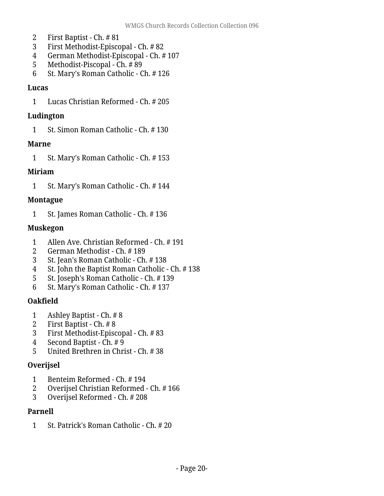- First Baptist Ch. # 81
- First Methodist-Episcopal Ch. # 82
- German Methodist-Episcopal Ch. # 107
- Methodist-Piscopal Ch. # 89
- St. Mary's Roman Catholic Ch. # 126

#### **Lucas**

Lucas Christian Reformed - Ch. # 205

#### **Ludington**

St. Simon Roman Catholic - Ch. # 130

#### **Marne**

St. Mary's Roman Catholic - Ch. # 153

### **Miriam**

St. Mary's Roman Catholic - Ch. # 144

### **Montague**

St. James Roman Catholic - Ch. # 136

### **Muskegon**

- Allen Ave. Christian Reformed Ch. # 191
- German Methodist Ch. # 189
- St. Jean's Roman Catholic Ch. # 138
- St. John the Baptist Roman Catholic Ch. # 138
- St. Joseph's Roman Catholic Ch. # 139
- St. Mary's Roman Catholic Ch. # 137

## **Oakfield**

- Ashley Baptist Ch. # 8
- First Baptist Ch. # 8
- First Methodist-Episcopal Ch. # 83
- 4 Second Baptist  $\overline{Ch}$ . #9
- United Brethren in Christ Ch. # 38

## **Overijsel**

- Benteim Reformed Ch. # 194
- Overijsel Christian Reformed Ch. # 166
- Overijsel Reformed Ch. # 208

#### **Parnell**

St. Patrick's Roman Catholic - Ch. # 20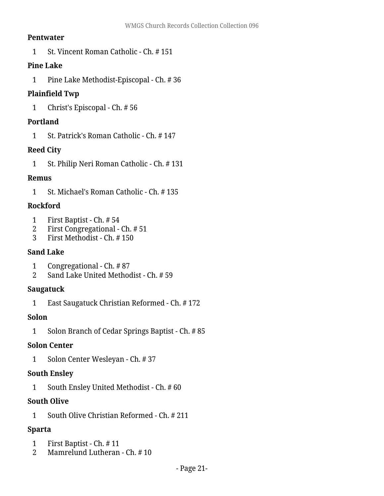#### **Pentwater**

1 St. Vincent Roman Catholic - Ch. # 151

#### **Pine Lake**

1 Pine Lake Methodist-Episcopal - Ch. # 36

#### **Plainfield Twp**

1 Christ's Episcopal - Ch. # 56

#### **Portland**

1 St. Patrick's Roman Catholic - Ch. # 147

#### **Reed City**

1 St. Philip Neri Roman Catholic - Ch. # 131

#### **Remus**

1 St. Michael's Roman Catholic - Ch. # 135

#### **Rockford**

- 1 First Baptist Ch. # 54
- 2 First Congregational Ch. # 51<br>3 First Methodist Ch. # 150
- 3 First Methodist Ch. # 150

#### **Sand Lake**

- 1 Congregational Ch. # 87
- 2 Sand Lake United Methodist Ch. # 59

#### **Saugatuck**

1 East Saugatuck Christian Reformed - Ch. # 172

#### **Solon**

1 Solon Branch of Cedar Springs Baptist - Ch. # 85

#### **Solon Center**

1 Solon Center Wesleyan - Ch. # 37

#### **South Ensley**

1 South Ensley United Methodist - Ch. # 60

#### **South Olive**

1 South Olive Christian Reformed - Ch. # 211

#### **Sparta**

- 1 First Baptist Ch. # 11<br>2 Mamrelund Lutheran
- Mamrelund Lutheran Ch. #10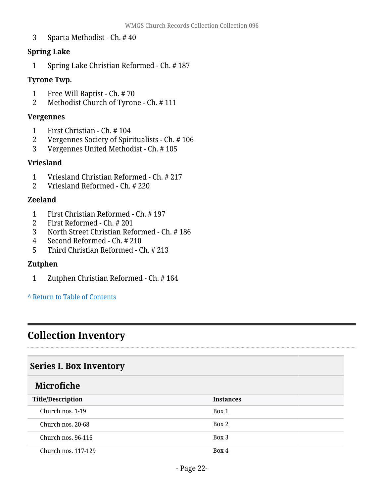3 Sparta Methodist - Ch. # 40

#### **Spring Lake**

1 Spring Lake Christian Reformed - Ch. # 187

#### **Tyrone Twp.**

- 1 Free Will Baptist Ch. #70<br>2 Methodist Church of Tyror
- 2 Methodist Church of Tyrone Ch. # 111

#### **Vergennes**

- 1 First Christian Ch. # 104
- 2 Vergennes Society of Spiritualists Ch. # 106<br>3 Vergennes United Methodist Ch. # 105
- 3 Vergennes United Methodist Ch. # 105

#### **Vriesland**

- 1 Vriesland Christian Reformed Ch. # 217
- 2 Vriesland Reformed Ch. # 220

#### **Zeeland**

- 1 First Christian Reformed Ch. # 197
- 2 First Reformed Ch. # 201
- 3 North Street Christian Reformed Ch. # 186
- 4 Second Reformed Ch. # 210
- 5 Third Christian Reformed Ch. # 213

#### **Zutphen**

1 Zutphen Christian Reformed - Ch. # 164

#### **^** [Return to Table of Contents](#page-1-0)

# <span id="page-21-0"></span>**Collection Inventory**

## <span id="page-21-1"></span>**Series I. Box Inventory**

## <span id="page-21-2"></span>**Microfiche**

| <b>Title/Description</b> | <b>Instances</b> |
|--------------------------|------------------|
| Church nos. 1-19         | Box 1            |
| Church nos. 20-68        | Box 2            |
| Church nos. 96-116       | Box 3            |
| Church nos. 117-129      | Box 4            |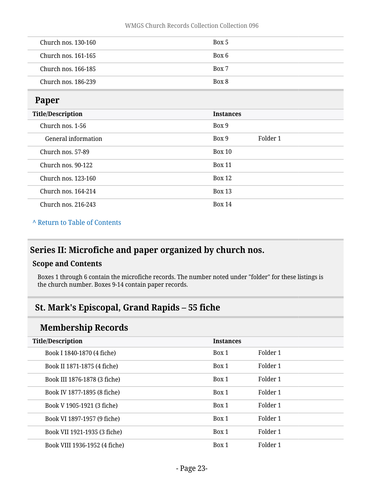| Church nos. 130-160 | Box 5 |
|---------------------|-------|
| Church nos. 161-165 | Box 6 |
| Church nos. 166-185 | Box 7 |
| Church nos. 186-239 | Box 8 |

#### <span id="page-22-0"></span>**Paper**

| $   -$                   |                  |          |  |
|--------------------------|------------------|----------|--|
| <b>Title/Description</b> | <b>Instances</b> |          |  |
| Church nos. 1-56         | Box 9            |          |  |
| General information      | Box 9            | Folder 1 |  |
| Church nos. 57-89        | <b>Box 10</b>    |          |  |
| Church nos. 90-122       | <b>Box 11</b>    |          |  |
| Church nos. 123-160      | Box 12           |          |  |
| Church nos. 164-214      | <b>Box 13</b>    |          |  |
| Church nos. 216-243      | <b>Box 14</b>    |          |  |

#### **^** [Return to Table of Contents](#page-1-0)

## <span id="page-22-1"></span>**Series II: Microfiche and paper organized by church nos.**

#### **Scope and Contents**

Boxes 1 through 6 contain the microfiche records. The number noted under "folder" for these listings is the church number. Boxes 9-14 contain paper records.

## <span id="page-22-2"></span>**St. Mark's Episcopal, Grand Rapids – 55 fiche**

## **Membership Records**

| <b>Title/Description</b>      | <b>Instances</b> |          |
|-------------------------------|------------------|----------|
| Book I 1840-1870 (4 fiche)    | Box 1            | Folder 1 |
| Book II 1871-1875 (4 fiche)   | Box 1            | Folder 1 |
| Book III 1876-1878 (3 fiche)  | Box 1            | Folder 1 |
| Book IV 1877-1895 (8 fiche)   | Box 1            | Folder 1 |
| Book V 1905-1921 (3 fiche)    | Box 1            | Folder 1 |
| Book VI 1897-1957 (9 fiche)   | Box 1            | Folder 1 |
| Book VII 1921-1935 (3 fiche)  | Box 1            | Folder 1 |
| Book VIII 1936-1952 (4 fiche) | Box 1            | Folder 1 |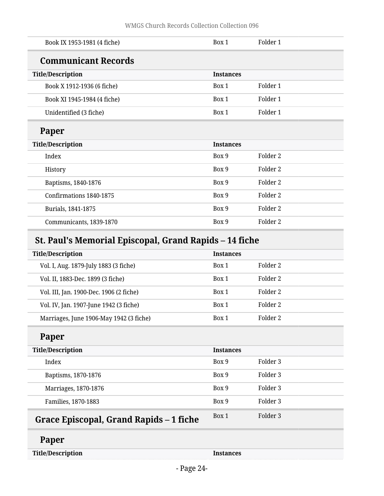| Book IX 1953-1981 (4 fiche) | Box 1            | Folder 1 |
|-----------------------------|------------------|----------|
| <b>Communicant Records</b>  |                  |          |
| <b>Title/Description</b>    | <b>Instances</b> |          |
| Book X 1912-1936 (6 fiche)  | Box 1            | Folder 1 |
| Book XI 1945-1984 (4 fiche) | Box 1            | Folder 1 |
| Unidentified (3 fiche)      | Box 1            | Folder 1 |
| Paper                       |                  |          |
| <b>Title/Description</b>    | <b>Instances</b> |          |
| Index                       | Box 9            | Folder 2 |
| History                     | Box 9            | Folder 2 |
| Baptisms, 1840-1876         | Box 9            | Folder 2 |
| Confirmations 1840-1875     | Box 9            | Folder 2 |
| Burials, 1841-1875          | Box 9            | Folder 2 |
| Communicants, 1839-1870     | Box 9            | Folder 2 |

# <span id="page-23-0"></span>**St. Paul's Memorial Episcopal, Grand Rapids – 14 fiche**

| <b>Title/Description</b>                | <b>Instances</b> |          |
|-----------------------------------------|------------------|----------|
| Vol. I, Aug. 1879-July 1883 (3 fiche)   | Box 1            | Folder 2 |
| Vol. II, 1883-Dec. 1899 (3 fiche)       | Box 1            | Folder 2 |
| Vol. III, Jan. 1900-Dec. 1906 (2 fiche) | Box 1            | Folder 2 |
| Vol. IV, Jan. 1907-June 1942 (3 fiche)  | Box 1            | Folder 2 |
| Marriages, June 1906-May 1942 (3 fiche) | Box 1            | Folder 2 |

# **Paper**

| <b>Title/Description</b>                | <b>Instances</b> |          |
|-----------------------------------------|------------------|----------|
| Index                                   | Box 9            | Folder 3 |
| Baptisms, 1870-1876                     | Box 9            | Folder 3 |
| Marriages, 1870-1876                    | Box 9            | Folder 3 |
| Families, 1870-1883                     | Box 9            | Folder 3 |
| Grace Episcopal, Grand Rapids – 1 fiche | Box 1            | Folder 3 |

## <span id="page-23-1"></span>**Paper**

**Title/Description Instances**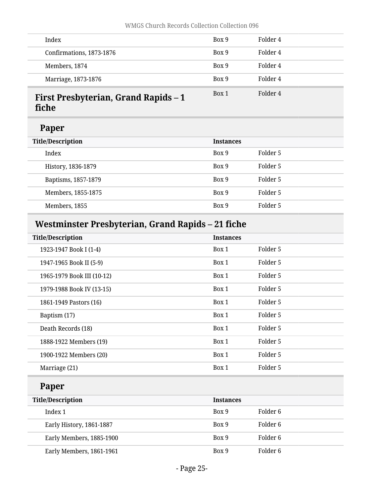| Index                            | Box 9 | Folder 4 |
|----------------------------------|-------|----------|
| Confirmations, 1873-1876         | Box 9 | Folder 4 |
| Members, 1874                    | Box 9 | Folder 4 |
| Marriage, 1873-1876              | Box 9 | Folder 4 |
| First Drechyterian, Crand Danide | Box 1 | Folder 4 |

### <span id="page-24-0"></span>**First Presbyterian, Grand Rapids – 1 fiche**

## **Paper**

| Folder 5<br>Box 9<br>Index               |  |
|------------------------------------------|--|
| Folder 5<br>Box 9<br>History, 1836-1879  |  |
| Folder 5<br>Box 9<br>Baptisms, 1857-1879 |  |
| Folder 5<br>Box 9<br>Members, 1855-1875  |  |
| Box 9<br>Folder 5<br>Members, 1855       |  |

# <span id="page-24-1"></span>**Westminster Presbyterian, Grand Rapids – 21 fiche**

| <b>Title/Description</b>   | <b>Instances</b> |          |
|----------------------------|------------------|----------|
| 1923-1947 Book I (1-4)     | Box 1            | Folder 5 |
| 1947-1965 Book II (5-9)    | Box 1            | Folder 5 |
| 1965-1979 Book III (10-12) | Box 1            | Folder 5 |
| 1979-1988 Book IV (13-15)  | Box 1            | Folder 5 |
| 1861-1949 Pastors (16)     | Box 1            | Folder 5 |
| Baptism (17)               | Box 1            | Folder 5 |
| Death Records (18)         | Box 1            | Folder 5 |
| 1888-1922 Members (19)     | Box 1            | Folder 5 |
| 1900-1922 Members (20)     | Box 1            | Folder 5 |
| Marriage (21)              | Box 1            | Folder 5 |

## **Paper**

| <b>Title/Description</b> | <b>Instances</b> |          |
|--------------------------|------------------|----------|
| Index 1                  | Box 9            | Folder 6 |
| Early History, 1861-1887 | Box 9            | Folder 6 |
| Early Members, 1885-1900 | Box 9            | Folder 6 |
| Early Members, 1861-1961 | Box 9            | Folder 6 |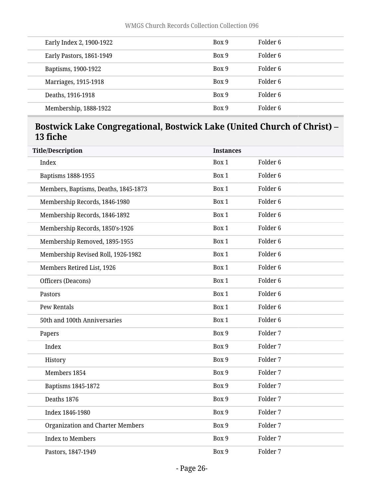| Early Index 2, 1900-1922 | Box 9 | Folder 6 |
|--------------------------|-------|----------|
| Early Pastors, 1861-1949 | Box 9 | Folder 6 |
| Baptisms, 1900-1922      | Box 9 | Folder 6 |
| Marriages, 1915-1918     | Box 9 | Folder 6 |
| Deaths, 1916-1918        | Box 9 | Folder 6 |
| Membership, 1888-1922    | Box 9 | Folder 6 |

## <span id="page-25-0"></span>**Bostwick Lake Congregational, Bostwick Lake (United Church of Christ) – 13 fiche**

| <b>Title/Description</b>                | <b>Instances</b> |                     |
|-----------------------------------------|------------------|---------------------|
| Index                                   | Box 1            | Folder <sub>6</sub> |
| Baptisms 1888-1955                      | Box 1            | Folder <sub>6</sub> |
| Members, Baptisms, Deaths, 1845-1873    | Box 1            | Folder <sub>6</sub> |
| Membership Records, 1846-1980           | Box 1            | Folder <sub>6</sub> |
| Membership Records, 1846-1892           | Box 1            | Folder <sub>6</sub> |
| Membership Records, 1850's-1926         | Box 1            | Folder <sub>6</sub> |
| Membership Removed, 1895-1955           | Box 1            | Folder <sub>6</sub> |
| Membership Revised Roll, 1926-1982      | Box 1            | Folder <sub>6</sub> |
| Members Retired List, 1926              | Box 1            | Folder <sub>6</sub> |
| Officers (Deacons)                      | Box 1            | Folder <sub>6</sub> |
| Pastors                                 | Box 1            | Folder <sub>6</sub> |
| <b>Pew Rentals</b>                      | Box 1            | Folder <sub>6</sub> |
| 50th and 100th Anniversaries            | Box 1            | Folder <sub>6</sub> |
| Papers                                  | Box 9            | Folder 7            |
| Index                                   | Box 9            | Folder 7            |
| History                                 | Box 9            | Folder 7            |
| Members 1854                            | Box 9            | Folder 7            |
| Baptisms 1845-1872                      | Box 9            | Folder 7            |
| Deaths 1876                             | Box 9            | Folder 7            |
| Index 1846-1980                         | Box 9            | Folder 7            |
| <b>Organization and Charter Members</b> | Box 9            | Folder 7            |
| <b>Index to Members</b>                 | Box 9            | Folder 7            |
| Pastors, 1847-1949                      | Box 9            | Folder 7            |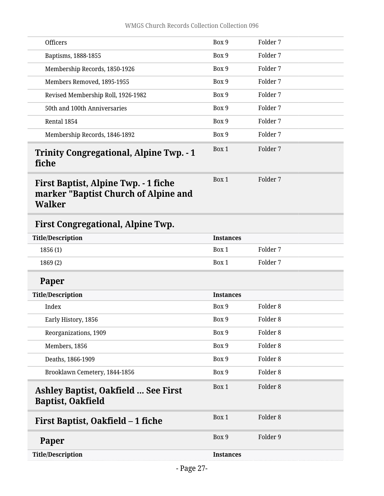<span id="page-26-4"></span><span id="page-26-3"></span><span id="page-26-2"></span><span id="page-26-1"></span><span id="page-26-0"></span>

| <b>Officers</b>                                                                               | Box 9            | Folder 7            |  |
|-----------------------------------------------------------------------------------------------|------------------|---------------------|--|
| Baptisms, 1888-1855                                                                           | Box 9            | Folder 7            |  |
| Membership Records, 1850-1926                                                                 | Box 9            | Folder 7            |  |
| Members Removed, 1895-1955                                                                    | Box 9            | Folder 7            |  |
| Revised Membership Roll, 1926-1982                                                            | Box 9            | Folder 7            |  |
| 50th and 100th Anniversaries                                                                  | Box 9            | Folder 7            |  |
| Rental 1854                                                                                   | Box 9            | Folder 7            |  |
| Membership Records, 1846-1892                                                                 | Box 9            | Folder 7            |  |
| <b>Trinity Congregational, Alpine Twp. - 1</b><br>fiche                                       | Box 1            | Folder 7            |  |
| First Baptist, Alpine Twp. - 1 fiche<br>marker "Baptist Church of Alpine and<br><b>Walker</b> | Box 1            | Folder 7            |  |
| <b>First Congregational, Alpine Twp.</b>                                                      |                  |                     |  |
| <b>Title/Description</b>                                                                      | <b>Instances</b> |                     |  |
| 1856(1)                                                                                       | Box 1            | Folder 7            |  |
| 1869(2)                                                                                       | Box 1            | Folder 7            |  |
| Paper                                                                                         |                  |                     |  |
| <b>Title/Description</b>                                                                      | <b>Instances</b> |                     |  |
| Index                                                                                         | Box 9            | Folder <sub>8</sub> |  |
| Early History, 1856                                                                           | Box 9            | Folder <sub>8</sub> |  |
| Reorganizations, 1909                                                                         | Box 9            | Folder <sub>8</sub> |  |
| Members, 1856                                                                                 | Box 9            | Folder <sub>8</sub> |  |
| Deaths, 1866-1909                                                                             | Box 9            | Folder <sub>8</sub> |  |
| Brooklawn Cemetery, 1844-1856                                                                 | Box 9            | Folder <sub>8</sub> |  |
| <b>Ashley Baptist, Oakfield  See First</b><br><b>Baptist, Oakfield</b>                        | Box 1            | Folder <sub>8</sub> |  |
| First Baptist, Oakfield - 1 fiche                                                             | Box 1            | Folder <sub>8</sub> |  |
| Paper                                                                                         | Box 9            | Folder 9            |  |
| <b>Title/Description</b>                                                                      | <b>Instances</b> |                     |  |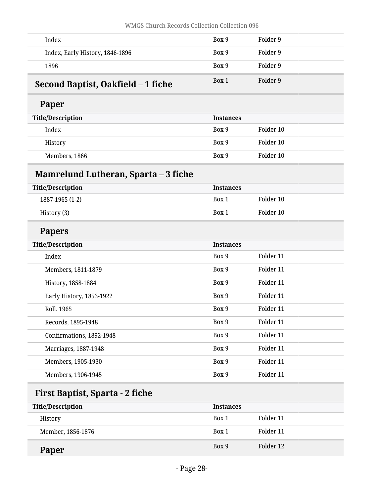<span id="page-27-1"></span><span id="page-27-0"></span>

| Index                                | Box 9            | Folder 9  |  |
|--------------------------------------|------------------|-----------|--|
| Index, Early History, 1846-1896      | Box 9            | Folder 9  |  |
| 1896                                 | Box 9            | Folder 9  |  |
| Second Baptist, Oakfield – 1 fiche   | Box 1            | Folder 9  |  |
| Paper                                |                  |           |  |
| <b>Title/Description</b>             | <b>Instances</b> |           |  |
| Index                                | Box 9            | Folder 10 |  |
| History                              | Box 9            | Folder 10 |  |
| Members, 1866                        | Box 9            | Folder 10 |  |
| Mamrelund Lutheran, Sparta – 3 fiche |                  |           |  |
| <b>Title/Description</b>             | <b>Instances</b> |           |  |
| 1887-1965 (1-2)                      | Box 1            | Folder 10 |  |
| History (3)                          | Box 1            | Folder 10 |  |
| <b>Papers</b>                        |                  |           |  |
| <b>Title/Description</b>             | <b>Instances</b> |           |  |
| Index                                | Box 9            | Folder 11 |  |
| Members, 1811-1879                   | Box 9            | Folder 11 |  |
| History, 1858-1884                   | Box 9            | Folder 11 |  |
| Early History, 1853-1922             | Box 9            | Folder 11 |  |
| Roll. 1965                           | Box 9            | Folder 11 |  |
| Records, 1895-1948                   | Box 9            | Folder 11 |  |
| Confirmations, 1892-1948             | Box 9            | Folder 11 |  |
| Marriages, 1887-1948                 | Box 9            | Folder 11 |  |
| Members, 1905-1930                   | Box 9            | Folder 11 |  |
|                                      |                  |           |  |

<span id="page-27-2"></span>

| <b>Title/Description</b> | <b>Instances</b> |           |
|--------------------------|------------------|-----------|
| History                  | Box 1            | Folder 11 |
| Member, 1856-1876        | Box 1            | Folder 11 |
| Paper                    | Box 9            | Folder 12 |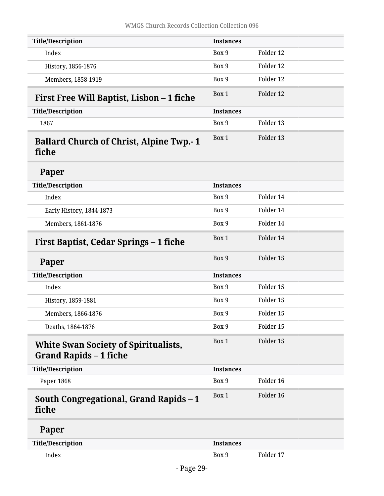<span id="page-28-4"></span><span id="page-28-3"></span><span id="page-28-2"></span><span id="page-28-1"></span><span id="page-28-0"></span>

| <b>Title/Description</b>                                                     | <b>Instances</b> |           |  |
|------------------------------------------------------------------------------|------------------|-----------|--|
| Index                                                                        | Box 9            | Folder 12 |  |
| History, 1856-1876                                                           | Box 9            | Folder 12 |  |
| Members, 1858-1919                                                           | Box 9            | Folder 12 |  |
| First Free Will Baptist, Lisbon - 1 fiche                                    | Box 1            | Folder 12 |  |
| <b>Title/Description</b>                                                     | <b>Instances</b> |           |  |
| 1867                                                                         | Box 9            | Folder 13 |  |
| <b>Ballard Church of Christ, Alpine Twp.-1</b><br>fiche                      | Box 1            | Folder 13 |  |
| Paper                                                                        |                  |           |  |
| <b>Title/Description</b>                                                     | <b>Instances</b> |           |  |
| Index                                                                        | Box 9            | Folder 14 |  |
| Early History, 1844-1873                                                     | Box 9            | Folder 14 |  |
| Members, 1861-1876                                                           | Box 9            | Folder 14 |  |
| First Baptist, Cedar Springs - 1 fiche                                       | Box 1            | Folder 14 |  |
| Paper                                                                        | Box 9            | Folder 15 |  |
| <b>Title/Description</b>                                                     | <b>Instances</b> |           |  |
| Index                                                                        | Box 9            | Folder 15 |  |
| History, 1859-1881                                                           | Box 9            | Folder 15 |  |
| Members, 1866-1876                                                           | Box 9            | Folder 15 |  |
| Deaths, 1864-1876                                                            | Box 9            | Folder 15 |  |
| <b>White Swan Society of Spiritualists,</b><br><b>Grand Rapids - 1 fiche</b> | Box 1            | Folder 15 |  |
| <b>Title/Description</b>                                                     | <b>Instances</b> |           |  |
| Paper 1868                                                                   | Box 9            | Folder 16 |  |
| South Congregational, Grand Rapids - 1<br>fiche                              | Box 1            | Folder 16 |  |
| Paper                                                                        |                  |           |  |
| <b>Title/Description</b>                                                     | <b>Instances</b> |           |  |
| Index                                                                        | Box 9            | Folder 17 |  |
| D <sub>200</sub> 20                                                          |                  |           |  |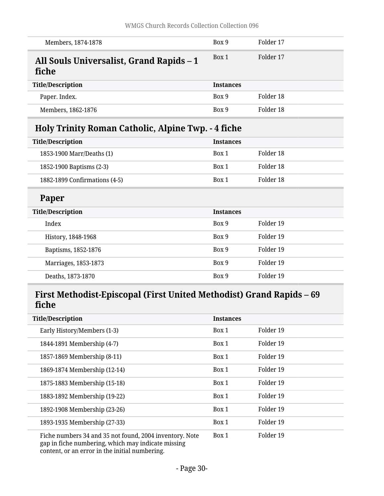<span id="page-29-1"></span><span id="page-29-0"></span>

| Members, 1874-1878                                                   | Box 9            | Folder 17 |
|----------------------------------------------------------------------|------------------|-----------|
| All Souls Universalist, Grand Rapids – 1<br>fiche                    | Box 1            | Folder 17 |
| <b>Title/Description</b>                                             | <b>Instances</b> |           |
| Paper. Index.                                                        | Box 9            | Folder 18 |
| Members, 1862-1876                                                   | Box 9            | Folder 18 |
| Holy Trinity Roman Catholic, Alpine Twp. - 4 fiche                   |                  |           |
| <b>Title/Description</b>                                             | <b>Instances</b> |           |
| 1853-1900 Marr/Deaths (1)                                            | Box 1            | Folder 18 |
| 1852-1900 Baptisms (2-3)                                             | Box 1            | Folder 18 |
| 1882-1899 Confirmations (4-5)                                        | Box 1            | Folder 18 |
| Paper                                                                |                  |           |
| <b>Title/Description</b>                                             | <b>Instances</b> |           |
| Index                                                                | Box 9            | Folder 19 |
| History, 1848-1968                                                   | Box 9            | Folder 19 |
| Baptisms, 1852-1876                                                  | Box 9            | Folder 19 |
| Marriages, 1853-1873                                                 | Box 9            | Folder 19 |
| Deaths, 1873-1870                                                    | Box 9            | Folder 19 |
| First Methodist-Episcopal (First United Methodist) Grand Rapids – 69 |                  |           |
| fiche                                                                |                  |           |

<span id="page-29-2"></span>

| <b>Title/Description</b>                                                                                      | <b>Instances</b> |           |
|---------------------------------------------------------------------------------------------------------------|------------------|-----------|
| Early History/Members (1-3)                                                                                   | Box 1            | Folder 19 |
| 1844-1891 Membership (4-7)                                                                                    | Box 1            | Folder 19 |
| 1857-1869 Membership (8-11)                                                                                   | Box 1            | Folder 19 |
| 1869-1874 Membership (12-14)                                                                                  | Box 1            | Folder 19 |
| 1875-1883 Membership (15-18)                                                                                  | Box 1            | Folder 19 |
| 1883-1892 Membership (19-22)                                                                                  | Box 1            | Folder 19 |
| 1892-1908 Membership (23-26)                                                                                  | Box 1            | Folder 19 |
| 1893-1935 Membership (27-33)                                                                                  | Box 1            | Folder 19 |
| Fiche numbers 34 and 35 not found, 2004 inventory. Note<br>gap in fiche numbering, which may indicate missing | Box 1            | Folder 19 |

content, or an error in the initial numbering.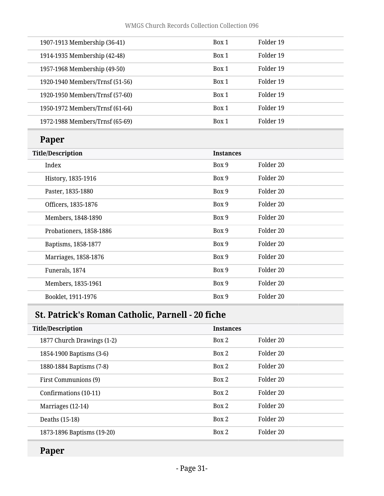| Paner                           |       |           |  |
|---------------------------------|-------|-----------|--|
| 1972-1988 Members/Trnsf (65-69) | Box 1 | Folder 19 |  |
| 1950-1972 Members/Trnsf (61-64) | Box 1 | Folder 19 |  |
| 1920-1950 Members/Trnsf (57-60) | Box 1 | Folder 19 |  |
| 1920-1940 Members/Trnsf (51-56) | Box 1 | Folder 19 |  |
| 1957-1968 Membership (49-50)    | Box 1 | Folder 19 |  |
| 1914-1935 Membership (42-48)    | Box 1 | Folder 19 |  |
| 1907-1913 Membership (36-41)    | Box 1 | Folder 19 |  |
|                                 |       |           |  |

## **Paper**

| <b>Title/Description</b> | <b>Instances</b> |           |
|--------------------------|------------------|-----------|
| Index                    | Box 9            | Folder 20 |
| History, 1835-1916       | Box 9            | Folder 20 |
| Paster, 1835-1880        | Box 9            | Folder 20 |
| Officers, 1835-1876      | Box 9            | Folder 20 |
| Members, 1848-1890       | Box 9            | Folder 20 |
| Probationers, 1858-1886  | Box 9            | Folder 20 |
| Baptisms, 1858-1877      | Box 9            | Folder 20 |
| Marriages, 1858-1876     | Box 9            | Folder 20 |
| Funerals, 1874           | Box 9            | Folder 20 |
| Members, 1835-1961       | Box 9            | Folder 20 |
| Booklet, 1911-1976       | Box 9            | Folder 20 |
|                          |                  |           |

# <span id="page-30-0"></span>**St. Patrick's Roman Catholic, Parnell - 20 fiche**

| <b>Title/Description</b>   | <b>Instances</b> |                      |
|----------------------------|------------------|----------------------|
|                            |                  |                      |
| 1877 Church Drawings (1-2) | Box 2            | Folder 20            |
| 1854-1900 Baptisms (3-6)   | Box 2            | Folder 20            |
| 1880-1884 Baptisms (7-8)   | Box 2            | Folder 20            |
| First Communions (9)       | Box 2            | Folder 20            |
| Confirmations (10-11)      | Box 2            | Folder 20            |
| Marriages (12-14)          | Box 2            | Folder <sub>20</sub> |
| Deaths (15-18)             | Box 2            | Folder <sub>20</sub> |
| 1873-1896 Baptisms (19-20) | Box 2            | Folder 20            |

# **Paper**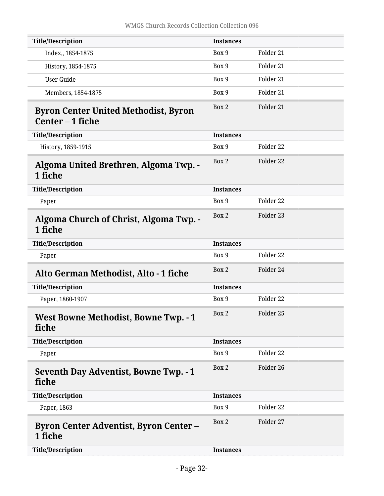<span id="page-31-6"></span><span id="page-31-5"></span><span id="page-31-4"></span><span id="page-31-3"></span><span id="page-31-2"></span><span id="page-31-1"></span><span id="page-31-0"></span>

| <b>Title/Description</b>                                        | <b>Instances</b> |                      |
|-----------------------------------------------------------------|------------------|----------------------|
| Index,, 1854-1875                                               | Box 9            | Folder 21            |
| History, 1854-1875                                              | Box 9            | Folder 21            |
| <b>User Guide</b>                                               | Box 9            | Folder 21            |
| Members, 1854-1875                                              | Box 9            | Folder 21            |
| <b>Byron Center United Methodist, Byron</b><br>Center - 1 fiche | Box 2            | Folder 21            |
| <b>Title/Description</b>                                        | <b>Instances</b> |                      |
| History, 1859-1915                                              | Box 9            | Folder 22            |
| Algoma United Brethren, Algoma Twp. -<br>1 fiche                | Box 2            | Folder 22            |
| <b>Title/Description</b>                                        | <b>Instances</b> |                      |
| Paper                                                           | Box 9            | Folder <sub>22</sub> |
| <b>Algoma Church of Christ, Algoma Twp. -</b><br>1 fiche        | Box 2            | Folder 23            |
| <b>Title/Description</b>                                        | <b>Instances</b> |                      |
| Paper                                                           | Box 9            | Folder 22            |
| Alto German Methodist, Alto - 1 fiche                           | Box 2            | Folder 24            |
| <b>Title/Description</b>                                        | <b>Instances</b> |                      |
| Paper, 1860-1907                                                | Box 9            | Folder 22            |
| <b>West Bowne Methodist, Bowne Twp. - 1</b><br>fiche            | Box 2            | Folder 25            |
| <b>Title/Description</b>                                        | <b>Instances</b> |                      |
| Paper                                                           | Box 9            | Folder 22            |
| <b>Seventh Day Adventist, Bowne Twp. - 1</b><br>fiche           | Box 2            | Folder 26            |
| <b>Title/Description</b>                                        | <b>Instances</b> |                      |
| Paper, 1863                                                     | Box 9            | Folder 22            |
| <b>Byron Center Adventist, Byron Center –</b><br>1 fiche        | Box 2            | Folder 27            |
| <b>Title/Description</b>                                        | <b>Instances</b> |                      |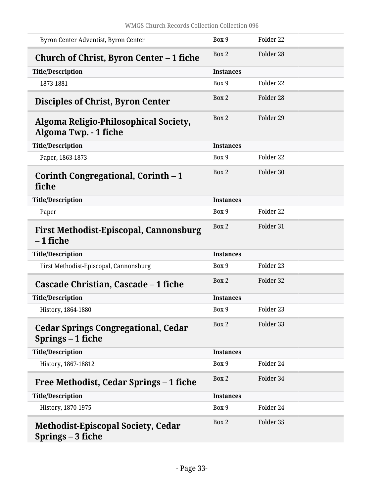<span id="page-32-8"></span><span id="page-32-7"></span><span id="page-32-6"></span><span id="page-32-5"></span><span id="page-32-4"></span><span id="page-32-3"></span><span id="page-32-2"></span><span id="page-32-1"></span><span id="page-32-0"></span>

| Byron Center Adventist, Byron Center                            | Box 9            | Folder <sub>22</sub> |
|-----------------------------------------------------------------|------------------|----------------------|
| Church of Christ, Byron Center – 1 fiche                        | Box 2            | Folder 28            |
| <b>Title/Description</b>                                        | <b>Instances</b> |                      |
| 1873-1881                                                       | Box 9            | Folder <sub>22</sub> |
| <b>Disciples of Christ, Byron Center</b>                        | Box 2            | Folder 28            |
| Algoma Religio-Philosophical Society,<br>Algoma Twp. - 1 fiche  | Box 2            | Folder 29            |
| <b>Title/Description</b>                                        | <b>Instances</b> |                      |
| Paper, 1863-1873                                                | Box 9            | Folder <sub>22</sub> |
| Corinth Congregational, Corinth - 1<br>fiche                    | Box 2            | Folder 30            |
| <b>Title/Description</b>                                        | <b>Instances</b> |                      |
| Paper                                                           | Box 9            | Folder <sub>22</sub> |
| <b>First Methodist-Episcopal, Cannonsburg</b><br>– 1 fiche      | Box 2            | Folder 31            |
| <b>Title/Description</b>                                        | <b>Instances</b> |                      |
| First Methodist-Episcopal, Cannonsburg                          | Box 9            | Folder 23            |
| Cascade Christian, Cascade - 1 fiche                            | Box 2            | Folder 32            |
| <b>Title/Description</b>                                        | <b>Instances</b> |                      |
| History, 1864-1880                                              | Box 9            | Folder 23            |
| <b>Cedar Springs Congregational, Cedar</b><br>Springs – 1 fiche | Box 2            | Folder 33            |
| <b>Title/Description</b>                                        | <b>Instances</b> |                      |
| History, 1867-18812                                             | Box 9            | Folder 24            |
| Free Methodist, Cedar Springs – 1 fiche                         | Box 2            | Folder 34            |
| <b>Title/Description</b>                                        | <b>Instances</b> |                      |
| History, 1870-1975                                              | Box 9            | Folder 24            |
| <b>Methodist-Episcopal Society, Cedar</b><br>Springs - 3 fiche  | Box 2            | Folder 35            |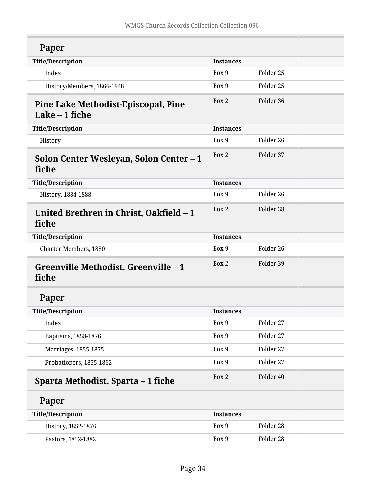<span id="page-33-4"></span><span id="page-33-3"></span><span id="page-33-2"></span><span id="page-33-1"></span><span id="page-33-0"></span>

| Paper                                                  |                  |           |
|--------------------------------------------------------|------------------|-----------|
| <b>Title/Description</b>                               | <b>Instances</b> |           |
| Index                                                  | Box 9            | Folder 25 |
| History/Members, 1866-1946                             | Box 9            | Folder 25 |
| Pine Lake Methodist-Episcopal, Pine<br>Lake $-1$ fiche | Box 2            | Folder 36 |
| <b>Title/Description</b>                               | <b>Instances</b> |           |
| History                                                | Box 9            | Folder 26 |
| Solon Center Wesleyan, Solon Center – 1<br>fiche       | Box 2            | Folder 37 |
| <b>Title/Description</b>                               | <b>Instances</b> |           |
| History, 1884-1888                                     | Box 9            | Folder 26 |
| United Brethren in Christ, Oakfield – 1<br>fiche       | Box 2            | Folder 38 |
| <b>Title/Description</b>                               | <b>Instances</b> |           |
| Charter Members, 1880                                  | Box 9            | Folder 26 |
| Greenville Methodist, Greenville – 1<br>fiche          | Box 2            | Folder 39 |
| Paper                                                  |                  |           |
| <b>Title/Description</b>                               | <b>Instances</b> |           |
| Index                                                  | Box 9            | Folder 27 |
| Baptisms, 1858-1876                                    | Box 9            | Folder 27 |
| Marriages, 1855-1875                                   | Box 9            | Folder 27 |
| Probationers, 1855-1862                                | Box 9            | Folder 27 |
| Sparta Methodist, Sparta – 1 fiche                     | Box 2            | Folder 40 |
| Paper                                                  |                  |           |
| <b>Title/Description</b>                               | <b>Instances</b> |           |
| History, 1852-1876                                     | Box 9            | Folder 28 |
| Pastors, 1852-1882                                     | Box 9            | Folder 28 |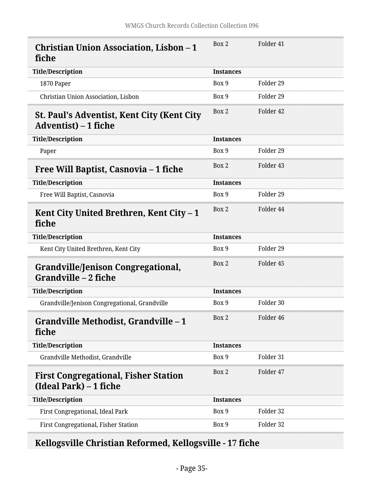<span id="page-34-3"></span><span id="page-34-2"></span><span id="page-34-1"></span><span id="page-34-0"></span>

| <b>Christian Union Association, Lisbon – 1</b><br>fiche                   | Box 2            | Folder 41 |
|---------------------------------------------------------------------------|------------------|-----------|
| <b>Title/Description</b>                                                  | <b>Instances</b> |           |
| 1870 Paper                                                                | Box 9            | Folder 29 |
| Christian Union Association, Lisbon                                       | Box 9            | Folder 29 |
| <b>St. Paul's Adventist, Kent City (Kent City</b><br>Adventist) – 1 fiche | Box 2            | Folder 42 |
| <b>Title/Description</b>                                                  | <b>Instances</b> |           |
| Paper                                                                     | Box 9            | Folder 29 |
| Free Will Baptist, Casnovia – 1 fiche                                     | Box 2            | Folder 43 |
| <b>Title/Description</b>                                                  | <b>Instances</b> |           |
| Free Will Baptist, Casnovia                                               | Box 9            | Folder 29 |
| Kent City United Brethren, Kent City - 1<br>fiche                         | Box 2            | Folder 44 |
| <b>Title/Description</b>                                                  | <b>Instances</b> |           |
| Kent City United Brethren, Kent City                                      | Box 9            | Folder 29 |
| Grandville/Jenison Congregational,<br>Grandville - 2 fiche                | Box 2            | Folder 45 |
| <b>Title/Description</b>                                                  | <b>Instances</b> |           |
| Grandville/Jenison Congregational, Grandville                             | Box 9            | Folder 30 |
| Grandville Methodist, Grandville - 1<br>fiche                             | Box 2            | Folder 46 |
| <b>Title/Description</b>                                                  | <b>Instances</b> |           |
| Grandville Methodist, Grandville                                          | Box 9            | Folder 31 |
| <b>First Congregational, Fisher Station</b><br>(Ideal Park) – 1 fiche     | Box 2            | Folder 47 |
| <b>Title/Description</b>                                                  | <b>Instances</b> |           |
| First Congregational, Ideal Park                                          | Box 9            | Folder 32 |
| First Congregational, Fisher Station                                      | Box 9            | Folder 32 |

<span id="page-34-7"></span><span id="page-34-6"></span><span id="page-34-5"></span><span id="page-34-4"></span>**Kellogsville Christian Reformed, Kellogsville - 17 fiche**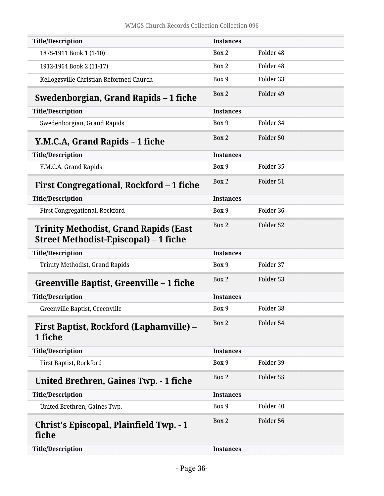<span id="page-35-7"></span><span id="page-35-6"></span><span id="page-35-5"></span><span id="page-35-4"></span><span id="page-35-3"></span><span id="page-35-2"></span><span id="page-35-1"></span><span id="page-35-0"></span>

| <b>Christ's Episcopal, Plainfield Twp. - 1</b><br>fiche                               | Box 2            | Folder 56 |
|---------------------------------------------------------------------------------------|------------------|-----------|
|                                                                                       |                  |           |
| United Brethren, Gaines Twp.                                                          | Box 9            | Folder 40 |
| <b>Title/Description</b>                                                              | <b>Instances</b> |           |
| United Brethren, Gaines Twp. - 1 fiche                                                | Box 2            | Folder 55 |
| First Baptist, Rockford                                                               | Box 9            | Folder 39 |
| <b>Title/Description</b>                                                              | <b>Instances</b> |           |
| <b>First Baptist, Rockford (Laphamville) –</b><br>1 fiche                             | Box 2            | Folder 54 |
| Greenville Baptist, Greenville                                                        | Box 9            | Folder 38 |
| <b>Title/Description</b>                                                              | <b>Instances</b> |           |
| Greenville Baptist, Greenville – 1 fiche                                              | Box 2            | Folder 53 |
| Trinity Methodist, Grand Rapids                                                       | Box 9            | Folder 37 |
| <b>Title/Description</b>                                                              | <b>Instances</b> |           |
| <b>Trinity Methodist, Grand Rapids (East</b><br>Street Methodist-Episcopal) – 1 fiche | Box 2            | Folder 52 |
| First Congregational, Rockford                                                        | Box 9            | Folder 36 |
| <b>Title/Description</b>                                                              | <b>Instances</b> |           |
| First Congregational, Rockford – 1 fiche                                              | Box 2            | Folder 51 |
| Y.M.C.A, Grand Rapids                                                                 | Box 9            | Folder 35 |
| <b>Title/Description</b>                                                              | <b>Instances</b> |           |
| Y.M.C.A, Grand Rapids – 1 fiche                                                       | Box 2            | Folder 50 |
| Swedenborgian, Grand Rapids                                                           | Box 9            | Folder 34 |
| <b>Title/Description</b>                                                              | <b>Instances</b> |           |
| Swedenborgian, Grand Rapids – 1 fiche                                                 | Box 2            | Folder 49 |
| Kelloggsville Christian Reformed Church                                               | Box 9            | Folder 33 |
| 1912-1964 Book 2 (11-17)                                                              | Box 2            | Folder 48 |
| 1875-1911 Book 1 (1-10)                                                               | Box 2            | Folder 48 |
| <b>Title/Description</b>                                                              | <b>Instances</b> |           |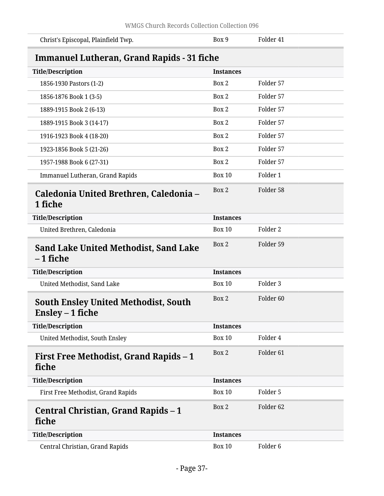<span id="page-36-5"></span><span id="page-36-4"></span><span id="page-36-3"></span><span id="page-36-2"></span><span id="page-36-1"></span><span id="page-36-0"></span>

| Christ's Episcopal, Plainfield Twp.                             | Box 9            | Folder 41            |  |
|-----------------------------------------------------------------|------------------|----------------------|--|
| <b>Immanuel Lutheran, Grand Rapids - 31 fiche</b>               |                  |                      |  |
| <b>Title/Description</b>                                        | <b>Instances</b> |                      |  |
| 1856-1930 Pastors (1-2)                                         | Box 2            | Folder 57            |  |
| 1856-1876 Book 1 (3-5)                                          | Box 2            | Folder 57            |  |
| 1889-1915 Book 2 (6-13)                                         | Box 2            | Folder 57            |  |
| 1889-1915 Book 3 (14-17)                                        | Box 2            | Folder 57            |  |
| 1916-1923 Book 4 (18-20)                                        | Box 2            | Folder 57            |  |
| 1923-1856 Book 5 (21-26)                                        | Box 2            | Folder 57            |  |
| 1957-1988 Book 6 (27-31)                                        | Box 2            | Folder 57            |  |
| <b>Immanuel Lutheran, Grand Rapids</b>                          | <b>Box 10</b>    | Folder 1             |  |
| Caledonia United Brethren, Caledonia –<br>1 fiche               | Box 2            | Folder 58            |  |
| <b>Title/Description</b>                                        | <b>Instances</b> |                      |  |
| United Brethren, Caledonia                                      | <b>Box 10</b>    | Folder 2             |  |
| <b>Sand Lake United Methodist, Sand Lake</b><br>– 1 fiche       | Box 2            | Folder 59            |  |
| <b>Title/Description</b>                                        | <b>Instances</b> |                      |  |
| United Methodist, Sand Lake                                     | <b>Box 10</b>    | Folder 3             |  |
| <b>South Ensley United Methodist, South</b><br>Ensley – 1 fiche | Box 2            | Folder <sub>60</sub> |  |
| <b>Title/Description</b>                                        | <b>Instances</b> |                      |  |
| United Methodist, South Ensley                                  | <b>Box 10</b>    | Folder 4             |  |
| <b>First Free Methodist, Grand Rapids - 1</b><br>fiche          | Box 2            | Folder <sub>61</sub> |  |
| <b>Title/Description</b>                                        | <b>Instances</b> |                      |  |
| First Free Methodist, Grand Rapids                              | <b>Box 10</b>    | Folder 5             |  |
| Central Christian, Grand Rapids - 1<br>fiche                    | Box 2            | Folder <sub>62</sub> |  |
| <b>Title/Description</b>                                        | <b>Instances</b> |                      |  |
| Central Christian, Grand Rapids                                 | <b>Box 10</b>    | Folder <sub>6</sub>  |  |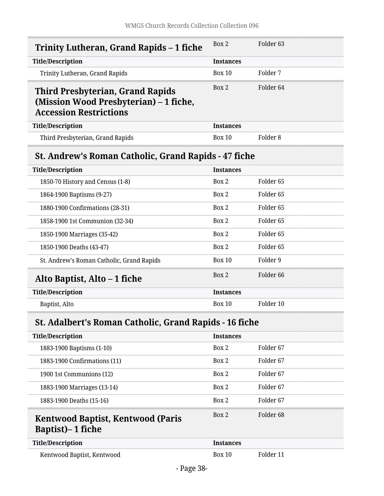<span id="page-37-2"></span><span id="page-37-1"></span><span id="page-37-0"></span>

| Trinity Lutheran, Grand Rapids – 1 fiche                                                                           | Box 2            | Folder <sub>63</sub> |
|--------------------------------------------------------------------------------------------------------------------|------------------|----------------------|
| <b>Title/Description</b>                                                                                           | <b>Instances</b> |                      |
| Trinity Lutheran, Grand Rapids                                                                                     | <b>Box 10</b>    | Folder 7             |
| <b>Third Presbyterian, Grand Rapids</b><br>(Mission Wood Presbyterian) – 1 fiche,<br><b>Accession Restrictions</b> | Box 2            | Folder <sub>64</sub> |
| <b>Title/Description</b>                                                                                           | <b>Instances</b> |                      |
| Third Presbyterian, Grand Rapids                                                                                   | Box 10           | Folder <sub>8</sub>  |
| <b>St. Andrew's Roman Catholic, Grand Rapids - 47 fiche</b>                                                        |                  |                      |
| <b>Title/Description</b>                                                                                           | <b>Instances</b> |                      |
| 1850-70 History and Census (1-8)                                                                                   | Box 2            | Folder <sub>65</sub> |
| 1864-1900 Baptisms (9-27)                                                                                          | Box 2            | Folder <sub>65</sub> |
| 1880-1900 Confirmations (28-31)                                                                                    | Box 2            | Folder <sub>65</sub> |
| 1858-1900 1st Communion (32-34)                                                                                    | Box 2            | Folder <sub>65</sub> |
| 1850-1900 Marriages (35-42)                                                                                        | Box 2            | Folder <sub>65</sub> |
| 1850-1900 Deaths (43-47)                                                                                           | Box 2            | Folder <sub>65</sub> |
| St. Andrew's Roman Catholic, Grand Rapids                                                                          | <b>Box 10</b>    | Folder 9             |
| Alto Baptist, Alto – 1 fiche                                                                                       | Box 2            | Folder <sub>66</sub> |
| <b>Title/Description</b>                                                                                           | <b>Instances</b> |                      |
| Baptist, Alto                                                                                                      | Box 10           | Folder 10            |

# <span id="page-37-4"></span><span id="page-37-3"></span>**St. Adalbert's Roman Catholic, Grand Rapids - 16 fiche**

<span id="page-37-5"></span>

| <b>Title/Description</b>                                             | <b>Instances</b> |                      |
|----------------------------------------------------------------------|------------------|----------------------|
| 1883-1900 Baptisms (1-10)                                            | Box 2            | Folder 67            |
| 1883-1900 Confirmations (11)                                         | Box 2            | Folder 67            |
| 1900 1st Communions (12)                                             | Box 2            | Folder 67            |
| 1883-1900 Marriages (13-14)                                          | Box 2            | Folder 67            |
| 1883-1900 Deaths (15-16)                                             | Box 2            | Folder <sub>67</sub> |
| <b>Kentwood Baptist, Kentwood (Paris</b><br><b>Baptist</b> )–1 fiche | Box 2            | Folder 68            |
| <b>Title/Description</b>                                             | <b>Instances</b> |                      |
| Kentwood Baptist, Kentwood                                           | <b>Box 10</b>    | Folder 11            |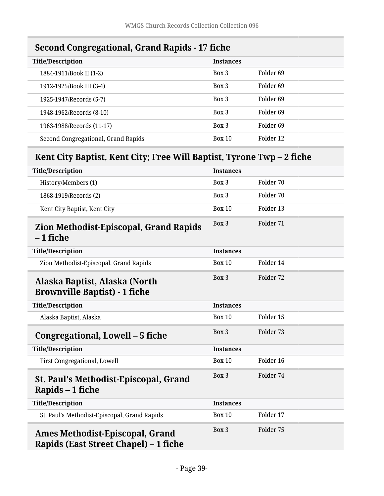<span id="page-38-0"></span>

<span id="page-38-1"></span>

| <b>Title/Description</b>                                              | <b>Instances</b> |                      |
|-----------------------------------------------------------------------|------------------|----------------------|
| 1884-1911/Book II (1-2)                                               | Box 3            | Folder <sub>69</sub> |
| 1912-1925/Book III (3-4)                                              | Box 3            | Folder <sub>69</sub> |
| 1925-1947/Records (5-7)                                               | Box 3            | Folder <sub>69</sub> |
| 1948-1962/Records (8-10)                                              | Box 3            | Folder <sub>69</sub> |
| 1963-1988/Records (11-17)                                             | Box 3            | Folder <sub>69</sub> |
| Second Congregational, Grand Rapids                                   | <b>Box 10</b>    | Folder 12            |
| Kent City Baptist, Kent City; Free Will Baptist, Tyrone Twp – 2 fiche |                  |                      |
| <b>Title/Description</b>                                              | <b>Instances</b> |                      |
| History/Members (1)                                                   | Box 3            | Folder 70            |
| 1868-1919/Records (2)                                                 | Box 3            | Folder 70            |
| Kent City Baptist, Kent City                                          | <b>Box 10</b>    | Folder 13            |
| <b>Zion Methodist-Episcopal, Grand Rapids</b><br>– 1 fiche            | Box 3            | Folder 71            |
| <b>Title/Description</b>                                              | <b>Instances</b> |                      |
| Zion Methodist-Episcopal, Grand Rapids                                | <b>Box 10</b>    | Folder 14            |
| Alaska Baptist, Alaska (North<br><b>Brownville Baptist) - 1 fiche</b> | Box 3            | Folder 72            |
| <b>Title/Description</b>                                              | <b>Instances</b> |                      |
| Alaska Baptist, Alaska                                                | <b>Box 10</b>    | Folder 15            |
|                                                                       |                  |                      |

# <span id="page-38-4"></span><span id="page-38-3"></span><span id="page-38-2"></span>**Congregational, Lowell – 5 fiche** Box 3 Folder 73

<span id="page-38-6"></span><span id="page-38-5"></span>

| <b>Title/Description</b>                                          | <b>Instances</b> |           |
|-------------------------------------------------------------------|------------------|-----------|
| <b>First Congregational, Lowell</b>                               | Box 10           | Folder 16 |
| <b>St. Paul's Methodist-Episcopal, Grand</b><br>Rapids $-1$ fiche | Box 3            | Folder 74 |
| <b>Title/Description</b>                                          | <b>Instances</b> |           |
| St. Paul's Methodist-Episcopal, Grand Rapids                      | Box 10           | Folder 17 |
|                                                                   |                  |           |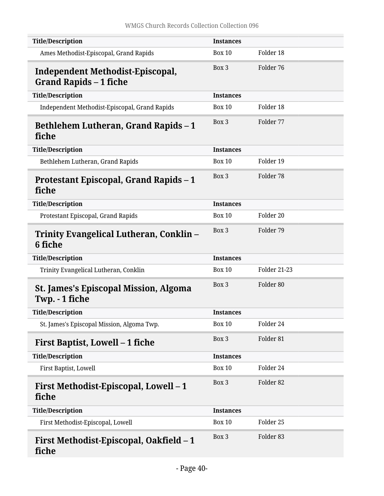<span id="page-39-7"></span><span id="page-39-6"></span><span id="page-39-5"></span><span id="page-39-4"></span><span id="page-39-3"></span><span id="page-39-2"></span><span id="page-39-1"></span><span id="page-39-0"></span>

| <b>Title/Description</b>                                                 | <b>Instances</b> |                      |
|--------------------------------------------------------------------------|------------------|----------------------|
| Ames Methodist-Episcopal, Grand Rapids                                   | <b>Box 10</b>    | Folder 18            |
| <b>Independent Methodist-Episcopal,</b><br><b>Grand Rapids – 1 fiche</b> | Box 3            | Folder 76            |
| <b>Title/Description</b>                                                 | <b>Instances</b> |                      |
| Independent Methodist-Episcopal, Grand Rapids                            | <b>Box 10</b>    | Folder 18            |
| <b>Bethlehem Lutheran, Grand Rapids – 1</b><br>fiche                     | Box 3            | Folder 77            |
| <b>Title/Description</b>                                                 | <b>Instances</b> |                      |
| Bethlehem Lutheran, Grand Rapids                                         | <b>Box 10</b>    | Folder 19            |
| Protestant Episcopal, Grand Rapids - 1<br>fiche                          | Box 3            | Folder 78            |
| <b>Title/Description</b>                                                 | <b>Instances</b> |                      |
| Protestant Episcopal, Grand Rapids                                       | <b>Box 10</b>    | Folder 20            |
| Trinity Evangelical Lutheran, Conklin –<br>6 fiche                       | Box 3            | Folder 79            |
| <b>Title/Description</b>                                                 | <b>Instances</b> |                      |
| Trinity Evangelical Lutheran, Conklin                                    | <b>Box 10</b>    | <b>Folder 21-23</b>  |
| <b>St. James's Episcopal Mission, Algoma</b><br>Twp. - 1 fiche           | Box 3            | Folder 80            |
| <b>Title/Description</b>                                                 | <b>Instances</b> |                      |
| St. James's Episcopal Mission, Algoma Twp.                               | <b>Box 10</b>    | Folder 24            |
| <b>First Baptist, Lowell – 1 fiche</b>                                   | Box 3            | Folder <sub>81</sub> |
| <b>Title/Description</b>                                                 | <b>Instances</b> |                      |
| First Baptist, Lowell                                                    | <b>Box 10</b>    | Folder 24            |
| First Methodist-Episcopal, Lowell - 1<br>fiche                           | Box 3            | Folder 82            |
| <b>Title/Description</b>                                                 | <b>Instances</b> |                      |
| First Methodist-Episcopal, Lowell                                        | <b>Box 10</b>    | Folder 25            |
| First Methodist-Episcopal, Oakfield – 1<br>fiche                         | Box 3            | Folder 83            |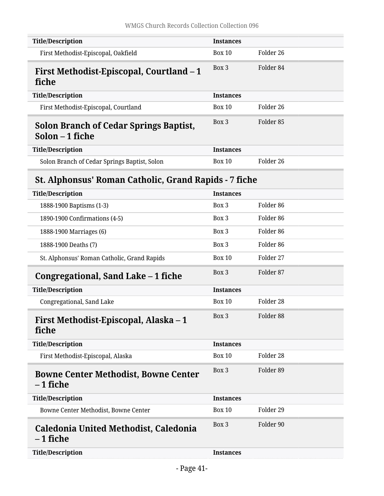<span id="page-40-6"></span><span id="page-40-5"></span><span id="page-40-4"></span><span id="page-40-3"></span><span id="page-40-2"></span><span id="page-40-1"></span><span id="page-40-0"></span>

| <b>Title/Description</b>                                         | <b>Instances</b> |                      |
|------------------------------------------------------------------|------------------|----------------------|
| First Methodist-Episcopal, Oakfield                              | <b>Box 10</b>    | Folder 26            |
| First Methodist-Episcopal, Courtland – 1<br>fiche                | Box 3            | Folder 84            |
| <b>Title/Description</b>                                         | <b>Instances</b> |                      |
| First Methodist-Episcopal, Courtland                             | <b>Box 10</b>    | Folder 26            |
| <b>Solon Branch of Cedar Springs Baptist,</b><br>Solon – 1 fiche | Box 3            | Folder 85            |
| <b>Title/Description</b>                                         | <b>Instances</b> |                      |
| Solon Branch of Cedar Springs Baptist, Solon                     | <b>Box 10</b>    | Folder 26            |
| <b>St. Alphonsus' Roman Catholic, Grand Rapids - 7 fiche</b>     |                  |                      |
| <b>Title/Description</b>                                         | <b>Instances</b> |                      |
| 1888-1900 Baptisms (1-3)                                         | Box 3            | Folder <sub>86</sub> |
| 1890-1900 Confirmations (4-5)                                    | Box 3            | Folder <sub>86</sub> |
| 1888-1900 Marriages (6)                                          | Box 3            | Folder <sub>86</sub> |
| 1888-1900 Deaths (7)                                             | Box 3            | Folder <sub>86</sub> |
| St. Alphonsus' Roman Catholic, Grand Rapids                      | <b>Box 10</b>    | Folder 27            |
| Congregational, Sand Lake – 1 fiche                              | Box 3            | Folder 87            |
| <b>Title/Description</b>                                         | <b>Instances</b> |                      |
| Congregational, Sand Lake                                        | <b>Box 10</b>    | Folder 28            |
| First Methodist-Episcopal, Alaska – 1<br>fiche                   | Box 3            | Folder 88            |
| <b>Title/Description</b>                                         | <b>Instances</b> |                      |
| First Methodist-Episcopal, Alaska                                | <b>Box 10</b>    | Folder 28            |
| <b>Bowne Center Methodist, Bowne Center</b><br>– 1 fiche         | Box 3            | Folder 89            |
| <b>Title/Description</b>                                         | <b>Instances</b> |                      |
| Bowne Center Methodist, Bowne Center                             | <b>Box 10</b>    | Folder 29            |
| Caledonia United Methodist, Caledonia<br>– 1 fiche               | Box 3            | Folder 90            |
| <b>Title/Description</b>                                         | <b>Instances</b> |                      |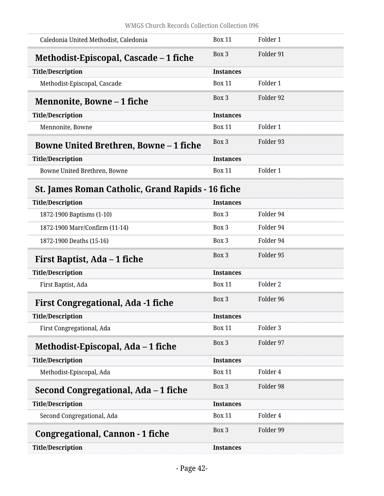<span id="page-41-2"></span><span id="page-41-1"></span><span id="page-41-0"></span>

| Caledonia United Methodist, Caledonia                    | <b>Box 11</b>    | Folder 1            |
|----------------------------------------------------------|------------------|---------------------|
| Methodist-Episcopal, Cascade – 1 fiche                   | Box 3            | Folder 91           |
| <b>Title/Description</b>                                 | <b>Instances</b> |                     |
| Methodist-Episcopal, Cascade                             | <b>Box 11</b>    | Folder 1            |
| Mennonite, Bowne – 1 fiche                               | Box 3            | Folder 92           |
| <b>Title/Description</b>                                 | <b>Instances</b> |                     |
| Mennonite, Bowne                                         | <b>Box 11</b>    | Folder 1            |
| <b>Bowne United Brethren, Bowne – 1 fiche</b>            | Box 3            | Folder 93           |
| <b>Title/Description</b>                                 | <b>Instances</b> |                     |
| Bowne United Brethren, Bowne                             | <b>Box 11</b>    | Folder 1            |
| <b>St. James Roman Catholic, Grand Rapids - 16 fiche</b> |                  |                     |
| <b>Title/Description</b>                                 | <b>Instances</b> |                     |
| 1872-1900 Baptisms (1-10)                                | Box 3            | Folder 94           |
| 1872-1900 Marr/Confirm (11-14)                           | Box 3            | Folder 94           |
| 1872-1900 Deaths (15-16)                                 | Box 3            | Folder 94           |
| First Baptist, Ada - 1 fiche                             | Box 3            | Folder 95           |
| <b>Title/Description</b>                                 | <b>Instances</b> |                     |
| First Baptist, Ada                                       | <b>Box 11</b>    | Folder <sub>2</sub> |

<span id="page-41-8"></span><span id="page-41-7"></span><span id="page-41-6"></span><span id="page-41-5"></span><span id="page-41-4"></span><span id="page-41-3"></span>

| <b>First Congregational, Ada -1 fiche</b> | $Box\ 3$         | Folder 96 |
|-------------------------------------------|------------------|-----------|
| <b>Title/Description</b>                  | <b>Instances</b> |           |
| First Congregational, Ada                 | <b>Box 11</b>    | Folder 3  |
| Methodist-Episcopal, Ada – 1 fiche        | Box 3            | Folder 97 |
| <b>Title/Description</b>                  | <b>Instances</b> |           |
| Methodist-Episcopal, Ada                  | <b>Box 11</b>    | Folder 4  |
| Second Congregational, Ada – 1 fiche      | Box 3            | Folder 98 |
| <b>Title/Description</b>                  | <b>Instances</b> |           |
| Second Congregational, Ada                | <b>Box 11</b>    | Folder 4  |
| Congregational, Cannon - 1 fiche          | Box 3            | Folder 99 |
| <b>Title/Description</b>                  | <b>Instances</b> |           |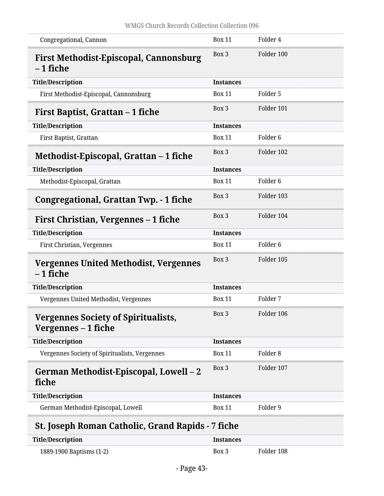<span id="page-42-4"></span><span id="page-42-3"></span><span id="page-42-2"></span><span id="page-42-1"></span><span id="page-42-0"></span>

| Congregational, Cannon                                            | <b>Box 11</b>    | Folder 4            |
|-------------------------------------------------------------------|------------------|---------------------|
| <b>First Methodist-Episcopal, Cannonsburg</b><br>– 1 fiche        | Box 3            | Folder 100          |
| <b>Title/Description</b>                                          | <b>Instances</b> |                     |
| First Methodist-Episcopal, Cannonsburg                            | <b>Box 11</b>    | Folder 5            |
| First Baptist, Grattan – 1 fiche                                  | Box 3            | Folder 101          |
| <b>Title/Description</b>                                          | <b>Instances</b> |                     |
| First Baptist, Grattan                                            | <b>Box 11</b>    | Folder <sub>6</sub> |
| Methodist-Episcopal, Grattan - 1 fiche                            | Box 3            | Folder 102          |
| <b>Title/Description</b>                                          | <b>Instances</b> |                     |
| Methodist-Episcopal, Grattan                                      | <b>Box 11</b>    | Folder <sub>6</sub> |
| <b>Congregational, Grattan Twp. - 1 fiche</b>                     | Box 3            | Folder 103          |
| First Christian, Vergennes – 1 fiche                              | Box 3            | Folder 104          |
| <b>Title/Description</b>                                          | <b>Instances</b> |                     |
| First Christian, Vergennes                                        | <b>Box 11</b>    | Folder <sub>6</sub> |
| Vergennes United Methodist, Vergennes<br>–1 fiche                 | Box 3            | Folder 105          |
| <b>Title/Description</b>                                          | <b>Instances</b> |                     |
| Vergennes United Methodist, Vergennes                             | <b>Box 11</b>    | Folder 7            |
| <b>Vergennes Society of Spiritualists,</b><br>Vergennes – 1 fiche | Box 3            | Folder 106          |
| <b>Title/Description</b>                                          | <b>Instances</b> |                     |
| Vergennes Society of Spiritualists, Vergennes                     | <b>Box 11</b>    | Folder <sub>8</sub> |
| German Methodist-Episcopal, Lowell - 2<br>fiche                   | Box 3            | Folder 107          |
| <b>Title/Description</b>                                          | <b>Instances</b> |                     |
| German Methodist-Episcopal, Lowell                                | <b>Box 11</b>    | Folder 9            |
| <b>St. Joseph Roman Catholic, Grand Rapids - 7 fiche</b>          |                  |                     |
| <b>Title/Description</b>                                          | <b>Instances</b> |                     |

<span id="page-42-8"></span><span id="page-42-7"></span><span id="page-42-6"></span><span id="page-42-5"></span>

| <b>Title/Description</b> | <i><u><b>Instances</b></u></i> |            |
|--------------------------|--------------------------------|------------|
| 1889-1900 Baptisms (1-2) | Box 3                          | Folder 108 |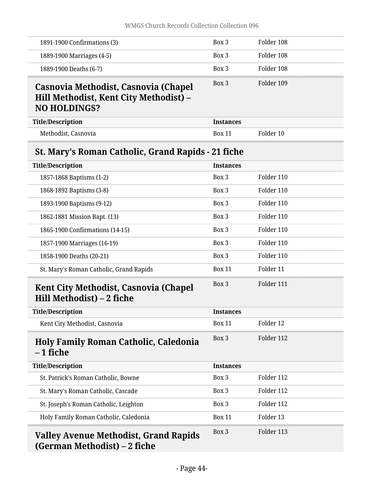<span id="page-43-4"></span><span id="page-43-3"></span><span id="page-43-2"></span><span id="page-43-1"></span><span id="page-43-0"></span>

| 1891-1900 Confirmations (3)                                                                           | Box 3            | Folder 108 |
|-------------------------------------------------------------------------------------------------------|------------------|------------|
| 1889-1900 Marriages (4-5)                                                                             | Box 3            | Folder 108 |
| 1889-1900 Deaths (6-7)                                                                                | Box 3            | Folder 108 |
| Casnovia Methodist, Casnovia (Chapel<br>Hill Methodist, Kent City Methodist) -<br><b>NO HOLDINGS?</b> | Box 3            | Folder 109 |
| <b>Title/Description</b>                                                                              | <b>Instances</b> |            |
| Methodist, Casnovia                                                                                   | <b>Box 11</b>    | Folder 10  |
| St. Mary's Roman Catholic, Grand Rapids - 21 fiche                                                    |                  |            |
| <b>Title/Description</b>                                                                              | <b>Instances</b> |            |
| 1857-1868 Baptisms (1-2)                                                                              | Box 3            | Folder 110 |
| 1868-1892 Baptisms (3-8)                                                                              | Box 3            | Folder 110 |
| 1893-1900 Baptisms (9-12)                                                                             | Box 3            | Folder 110 |
| 1862-1881 Mission Bapt. (13)                                                                          | Box 3            | Folder 110 |
| 1865-1900 Confirmations (14-15)                                                                       | Box 3            | Folder 110 |
| 1857-1900 Marriages (16-19)                                                                           | Box 3            | Folder 110 |
| 1858-1900 Deaths (20-21)                                                                              | Box 3            | Folder 110 |
| St. Mary's Roman Catholic, Grand Rapids                                                               | <b>Box 11</b>    | Folder 11  |
| <b>Kent City Methodist, Casnovia (Chapel)</b><br>Hill Methodist) - 2 fiche                            | Box 3            | Folder 111 |
| <b>Title/Description</b>                                                                              | <b>Instances</b> |            |
| Kent City Methodist, Casnovia                                                                         | <b>Box 11</b>    | Folder 12  |
| <b>Holy Family Roman Catholic, Caledonia</b><br>$-1$ fiche                                            | Box 3            | Folder 112 |
| <b>Title/Description</b>                                                                              | <b>Instances</b> |            |
| St. Patrick's Roman Catholic, Bowne                                                                   | Box 3            | Folder 112 |
| St. Mary's Roman Catholic, Cascade                                                                    | Box 3            | Folder 112 |
| St. Joseph's Roman Catholic, Leighton                                                                 | Box 3            | Folder 112 |
| Holy Family Roman Catholic, Caledonia                                                                 | <b>Box 11</b>    | Folder 13  |
| <b>Valley Avenue Methodist, Grand Rapids</b><br>(German Methodist) – 2 fiche                          | Box 3            | Folder 113 |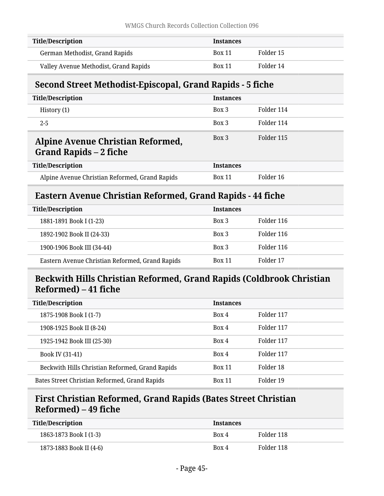| Title/Description                     | <b>Instances</b> |           |
|---------------------------------------|------------------|-----------|
| German Methodist, Grand Rapids        | <b>Box 11</b>    | Folder 15 |
| Valley Avenue Methodist, Grand Rapids | <b>Box 11</b>    | Folder 14 |

## <span id="page-44-0"></span>**Second Street Methodist-Episcopal, Grand Rapids - 5 fiche**

<span id="page-44-1"></span>

| <b>Title/Description</b>                                           | <b>Instances</b> |            |
|--------------------------------------------------------------------|------------------|------------|
| History $(1)$                                                      | Box 3            | Folder 114 |
| $2 - 5$                                                            | Box 3            | Folder 114 |
| Alpine Avenue Christian Reformed,<br><b>Grand Rapids – 2 fiche</b> | Box 3            | Folder 115 |
| <b>Title/Description</b>                                           | <b>Instances</b> |            |
| Alpine Avenue Christian Reformed, Grand Rapids                     | <b>Box 11</b>    | Folder 16  |

## <span id="page-44-2"></span>**Eastern Avenue Christian Reformed, Grand Rapids - 44 fiche**

| <b>Title/Description</b>                        | <b>Instances</b> |            |
|-------------------------------------------------|------------------|------------|
| 1881-1891 Book I (1-23)                         | Box 3            | Folder 116 |
| 1892-1902 Book II (24-33)                       | Box 3            | Folder 116 |
| 1900-1906 Book III (34-44)                      | Box 3            | Folder 116 |
| Eastern Avenue Christian Reformed, Grand Rapids | <b>Box 11</b>    | Folder 17  |

## <span id="page-44-3"></span>**Beckwith Hills Christian Reformed, Grand Rapids (Coldbrook Christian Reformed) – 41 fiche**

| <b>Title/Description</b>                        | <b>Instances</b> |            |
|-------------------------------------------------|------------------|------------|
| 1875-1908 Book I (1-7)                          | Box 4            | Folder 117 |
| 1908-1925 Book II (8-24)                        | Box 4            | Folder 117 |
| 1925-1942 Book III (25-30)                      | Box 4            | Folder 117 |
| Book IV (31-41)                                 | Box 4            | Folder 117 |
| Beckwith Hills Christian Reformed, Grand Rapids | <b>Box 11</b>    | Folder 18  |
| Bates Street Christian Reformed, Grand Rapids   | <b>Box 11</b>    | Folder 19  |

## <span id="page-44-4"></span>**First Christian Reformed, Grand Rapids (Bates Street Christian Reformed) – 49 fiche**

| Title/Description       | <b>Instances</b> |            |
|-------------------------|------------------|------------|
| 1863-1873 Book I (1-3)  | Box 4            | Folder 118 |
| 1873-1883 Book II (4-6) | Box 4            | Folder 118 |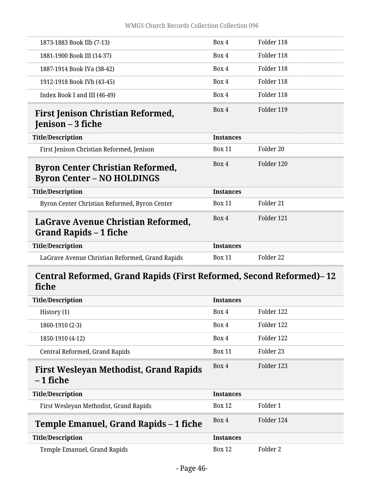<span id="page-45-0"></span>

| 1873-1883 Book IIb (7-13)                                                    | Box 4            | Folder 118           |
|------------------------------------------------------------------------------|------------------|----------------------|
| 1881-1900 Book III (14-37)                                                   | Box 4            | Folder 118           |
| 1887-1914 Book IVa (38-42)                                                   | Box 4            | Folder 118           |
| 1912-1918 Book IVb (43-45)                                                   | Box 4            | Folder 118           |
| Index Book I and III (46-49)                                                 | Box 4            | Folder 118           |
| <b>First Jenison Christian Reformed,</b><br>Jenison – 3 fiche                | Box 4            | Folder 119           |
| <b>Title/Description</b>                                                     | <b>Instances</b> |                      |
| First Jenison Christian Reformed, Jenison                                    | <b>Box 11</b>    | Folder <sub>20</sub> |
| <b>Byron Center Christian Reformed,</b><br><b>Byron Center – NO HOLDINGS</b> | Box 4            | Folder 120           |
| <b>Title/Description</b>                                                     | <b>Instances</b> |                      |
| Byron Center Christian Reformed, Byron Center                                | <b>Box 11</b>    | Folder 21            |
| LaGrave Avenue Christian Reformed,<br>Grand Rapids – 1 fiche                 | Box 4            | Folder 121           |
| <b>Title/Description</b>                                                     | <b>Instances</b> |                      |
| LaGrave Avenue Christian Reformed, Grand Rapids                              | <b>Box 11</b>    | Folder 22            |

## <span id="page-45-3"></span><span id="page-45-2"></span><span id="page-45-1"></span>**Central Reformed, Grand Rapids (First Reformed, Second Reformed)– 12 fiche**

<span id="page-45-5"></span><span id="page-45-4"></span>

| <b>Title/Description</b>                      | <b>Instances</b> |            |
|-----------------------------------------------|------------------|------------|
| History (1)                                   | Box 4            | Folder 122 |
| 1860-1910 (2-3)                               | Box 4            | Folder 122 |
| 1850-1910 (4-12)                              | Box 4            | Folder 122 |
| Central Reformed, Grand Rapids                | <b>Box 11</b>    | Folder 23  |
| <b>First Wesleyan Methodist, Grand Rapids</b> | Box 4            | Folder 123 |
| $-1$ fiche                                    |                  |            |
| <b>Title/Description</b>                      | <b>Instances</b> |            |
| First Wesleyan Methodist, Grand Rapids        | <b>Box 12</b>    | Folder 1   |
| Temple Emanuel, Grand Rapids – 1 fiche        | Box 4            | Folder 124 |
| <b>Title/Description</b>                      | <b>Instances</b> |            |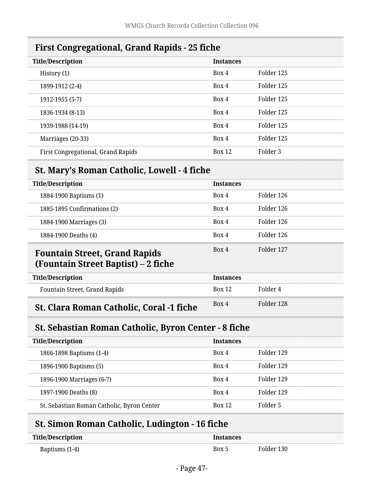<span id="page-46-0"></span>

| THE CONGLORUPHIN, OTHER KUPING TO HUIT |                  |            |
|----------------------------------------|------------------|------------|
| <b>Title/Description</b>               | <b>Instances</b> |            |
| History (1)                            | Box 4            | Folder 125 |
| 1899-1912 (2-4)                        | Box 4            | Folder 125 |
| 1912-1955 (5-7)                        | Box 4            | Folder 125 |
| 1836-1934 (8-13)                       | Box 4            | Folder 125 |
| 1939-1988 (14-19)                      | Box 4            | Folder 125 |
| Marriages (20-33)                      | Box 4            | Folder 125 |
| First Congregational, Grand Rapids     | <b>Box 12</b>    | Folder 3   |

## **First Congregational, Grand Rapids - 25 fiche**

## <span id="page-46-1"></span>**St. Mary's Roman Catholic, Lowell - 4 fiche**

<span id="page-46-2"></span>

| <b>Title/Description</b>                                                    | <b>Instances</b> |            |
|-----------------------------------------------------------------------------|------------------|------------|
| 1884-1900 Baptisms (1)                                                      | Box 4            | Folder 126 |
| 1885-1895 Confirmations (2)                                                 | Box 4            | Folder 126 |
| 1884-1900 Marriages (3)                                                     | Box 4            | Folder 126 |
| 1884-1900 Deaths (4)                                                        | Box 4            | Folder 126 |
| <b>Fountain Street, Grand Rapids</b><br>(Fountain Street Baptist) – 2 fiche | Box 4            | Folder 127 |
| <b>Title/Description</b>                                                    | <b>Instances</b> |            |
| Fountain Street, Grand Rapids                                               | Box 12           | Folder 4   |
| <b>St. Clara Roman Catholic, Coral -1 fiche</b>                             | Box 4            | Folder 128 |

# <span id="page-46-4"></span><span id="page-46-3"></span>**St. Sebastian Roman Catholic, Byron Center - 8 fiche**

| <b>Title/Description</b>                   | <b>Instances</b> |            |
|--------------------------------------------|------------------|------------|
| 1866-1898 Baptisms (1-4)                   | Box 4            | Folder 129 |
| 1896-1900 Baptisms (5)                     | Box 4            | Folder 129 |
| 1896-1900 Marriages (6-7)                  | Box 4            | Folder 129 |
| 1897-1900 Deaths (8)                       | Box 4            | Folder 129 |
| St. Sebastian Roman Catholic, Byron Center | <b>Box 12</b>    | Folder 5   |

# <span id="page-46-5"></span>**St. Simon Roman Catholic, Ludington - 16 fiche**

| <b>Title/Description</b> | <b>Instances</b> |            |
|--------------------------|------------------|------------|
| Baptisms (1-4)           | Box 5            | Folder 130 |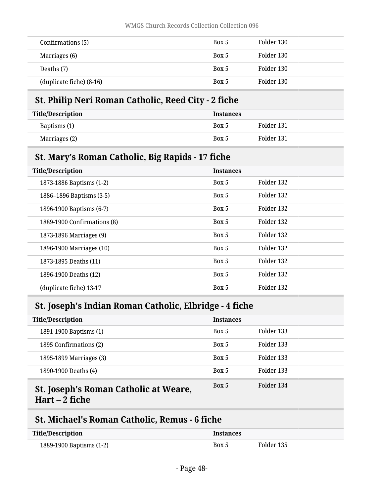| Confirmations (5)        | Box 5 | Folder 130 |  |
|--------------------------|-------|------------|--|
| Marriages (6)            | Box 5 | Folder 130 |  |
| Deaths (7)               | Box 5 | Folder 130 |  |
| (duplicate fiche) (8-16) | Box 5 | Folder 130 |  |

## <span id="page-47-0"></span>**St. Philip Neri Roman Catholic, Reed City - 2 fiche**

| <b>Title/Description</b> | <b>Instances</b> |            |
|--------------------------|------------------|------------|
| Baptisms (1)             | Box 5            | Folder 131 |
| Marriages (2)            | Box 5            | Folder 131 |

## <span id="page-47-1"></span>**St. Mary's Roman Catholic, Big Rapids - 17 fiche**

| <b>Title/Description</b>    | <b>Instances</b> |            |
|-----------------------------|------------------|------------|
| 1873-1886 Baptisms (1-2)    | Box 5            | Folder 132 |
| 1886–1896 Baptisms (3-5)    | Box 5            | Folder 132 |
| 1896-1900 Baptisms (6-7)    | Box 5            | Folder 132 |
| 1889-1900 Confirmations (8) | Box 5            | Folder 132 |
| 1873-1896 Marriages (9)     | Box 5            | Folder 132 |
| 1896-1900 Marriages (10)    | Box 5            | Folder 132 |
| 1873-1895 Deaths (11)       | Box 5            | Folder 132 |
| 1896-1900 Deaths (12)       | Box 5            | Folder 132 |
| (duplicate fiche) 13-17     | Box 5            | Folder 132 |

# <span id="page-47-2"></span>**St. Joseph's Indian Roman Catholic, Elbridge - 4 fiche**

| <b>Title/Description</b>              | <b>Instances</b> |            |
|---------------------------------------|------------------|------------|
| 1891-1900 Baptisms (1)                | Box 5            | Folder 133 |
| 1895 Confirmations (2)                | Box 5            | Folder 133 |
| 1895-1899 Marriages (3)               | Box 5            | Folder 133 |
| 1890-1900 Deaths (4)                  | Box 5            | Folder 133 |
| St. Joseph's Roman Catholic at Weare, | Box 5            | Folder 134 |

#### <span id="page-47-3"></span>**Hart – 2 fiche**

## <span id="page-47-4"></span>**St. Michael's Roman Catholic, Remus - 6 fiche**

| <b>Title/Description</b> | <i><u><b>Instances</b></u></i> |            |
|--------------------------|--------------------------------|------------|
| 1889-1900 Baptisms (1-2) | Box 5                          | Folder 135 |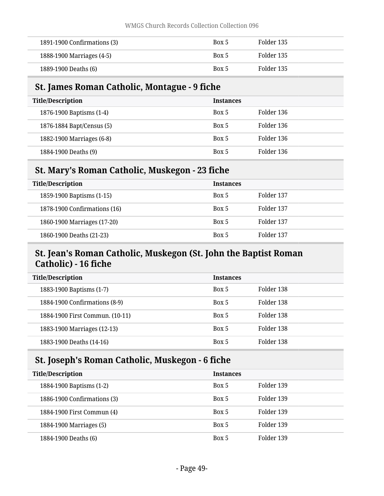| 1891-1900 Confirmations (3) | Box 5 | Folder 135 |
|-----------------------------|-------|------------|
| 1888-1900 Marriages (4-5)   | Box 5 | Folder 135 |
| 1889-1900 Deaths (6)        | Box 5 | Folder 135 |

## <span id="page-48-0"></span>**St. James Roman Catholic, Montague - 9 fiche**

| <b>Title/Description</b>  | <b>Instances</b> |            |
|---------------------------|------------------|------------|
| 1876-1900 Baptisms (1-4)  | Box 5            | Folder 136 |
| 1876-1884 Bapt/Census (5) | Box 5            | Folder 136 |
| 1882-1900 Marriages (6-8) | Box 5            | Folder 136 |
| 1884-1900 Deaths (9)      | Box 5            | Folder 136 |

## <span id="page-48-1"></span>**St. Mary's Roman Catholic, Muskegon - 23 fiche**

| <b>Title/Description</b>     | <b>Instances</b> |            |
|------------------------------|------------------|------------|
| 1859-1900 Baptisms (1-15)    | Box 5            | Folder 137 |
| 1878-1900 Confirmations (16) | Box 5            | Folder 137 |
| 1860-1900 Marriages (17-20)  | Box 5            | Folder 137 |
| 1860-1900 Deaths (21-23)     | Box 5            | Folder 137 |

## <span id="page-48-2"></span>**St. Jean's Roman Catholic, Muskegon (St. John the Baptist Roman Catholic) - 16 fiche**

| <b>Title/Description</b>        | <b>Instances</b> |            |  |
|---------------------------------|------------------|------------|--|
| 1883-1900 Baptisms (1-7)        | Box 5            | Folder 138 |  |
| 1884-1900 Confirmations (8-9)   | Box 5            | Folder 138 |  |
| 1884-1900 First Commun. (10-11) | Box 5            | Folder 138 |  |
| 1883-1900 Marriages (12-13)     | Box 5            | Folder 138 |  |
| 1883-1900 Deaths (14-16)        | Box 5            | Folder 138 |  |

## <span id="page-48-3"></span>**St. Joseph's Roman Catholic, Muskegon - 6 fiche**

| <b>Title/Description</b>    | <b>Instances</b> |            |  |
|-----------------------------|------------------|------------|--|
| 1884-1900 Baptisms (1-2)    | Box 5            | Folder 139 |  |
| 1886-1900 Confirmations (3) | Box 5            | Folder 139 |  |
| 1884-1900 First Commun (4)  | Box 5            | Folder 139 |  |
| 1884-1900 Marriages (5)     | Box 5            | Folder 139 |  |
| 1884-1900 Deaths (6)        | Box 5            | Folder 139 |  |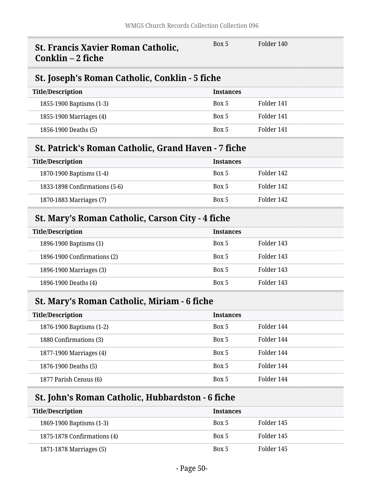<span id="page-49-2"></span><span id="page-49-1"></span><span id="page-49-0"></span>

| <b>St. Francis Xavier Roman Catholic,</b><br>Conklin – 2 fiche | Box 5            | Folder 140 |  |
|----------------------------------------------------------------|------------------|------------|--|
| St. Joseph's Roman Catholic, Conklin - 5 fiche                 |                  |            |  |
| <b>Title/Description</b>                                       | <b>Instances</b> |            |  |
| 1855-1900 Baptisms (1-3)                                       | Box 5            | Folder 141 |  |
| 1855-1900 Marriages (4)                                        | Box 5            | Folder 141 |  |
| 1856-1900 Deaths (5)                                           | Box 5            | Folder 141 |  |
| <b>St. Patrick's Roman Catholic, Grand Haven - 7 fiche</b>     |                  |            |  |
| <b>Title/Description</b>                                       | <b>Instances</b> |            |  |
| 1870-1900 Baptisms (1-4)                                       | Box 5            | Folder 142 |  |
| 1833-1898 Confirmations (5-6)                                  | Box 5            | Folder 142 |  |
| 1870-1883 Marriages (7)                                        | Box 5            | Folder 142 |  |
| St. Mary's Roman Catholic, Carson City - 4 fiche               |                  |            |  |
| <b>Title/Description</b>                                       | <b>Instances</b> |            |  |
| 1896-1900 Baptisms (1)                                         | Box 5            | Folder 143 |  |
| 1896-1900 Confirmations (2)                                    | Box 5            | Folder 143 |  |
| 1896-1900 Marriages (3)                                        | Box 5            | Folder 143 |  |
| 1896-1900 Deaths (4)                                           | Box 5            | Folder 143 |  |
| <b>St. Mary's Roman Catholic, Miriam - 6 fiche</b>             |                  |            |  |
| <b>Title/Description</b>                                       | <b>Instances</b> |            |  |
| 1876-1900 Baptisms (1-2)                                       | Box 5            | Folder 144 |  |
| 1880 Confirmations (3)                                         | Box 5            | Folder 144 |  |
| 1877-1900 Marriages (4)                                        | Box 5            | Folder 144 |  |
| 1876-1900 Deaths (5)                                           | Box 5            | Folder 144 |  |

# <span id="page-49-5"></span>**St. John's Roman Catholic, Hubbardston - 6 fiche**

<span id="page-49-4"></span><span id="page-49-3"></span>1877 Parish Census (6) **Box 5** Folder 144

| <b>Title/Description</b>    | <b>Instances</b> |            |
|-----------------------------|------------------|------------|
| 1869-1900 Baptisms (1-3)    | Box 5            | Folder 145 |
| 1875-1878 Confirmations (4) | Box 5            | Folder 145 |
| 1871-1878 Marriages (5)     | Box 5            | Folder 145 |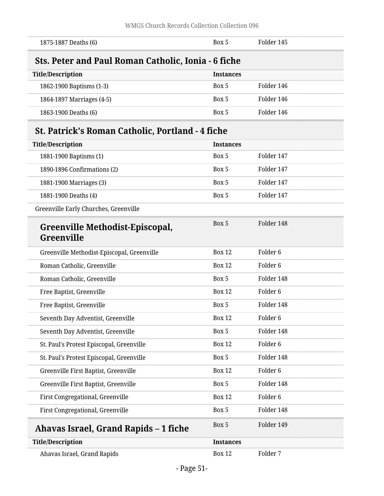<span id="page-50-2"></span><span id="page-50-1"></span><span id="page-50-0"></span>

| 1875-1887 Deaths (6)                                       | Box 5            | Folder 145          |
|------------------------------------------------------------|------------------|---------------------|
| <b>Sts. Peter and Paul Roman Catholic, Ionia - 6 fiche</b> |                  |                     |
| <b>Title/Description</b>                                   | <b>Instances</b> |                     |
| 1862-1900 Baptisms (1-3)                                   | Box 5            | Folder 146          |
| 1864-1897 Marriages (4-5)                                  | Box 5            | Folder 146          |
| 1863-1900 Deaths (6)                                       | Box 5            | Folder 146          |
| <b>St. Patrick's Roman Catholic, Portland - 4 fiche</b>    |                  |                     |
| <b>Title/Description</b>                                   | <b>Instances</b> |                     |
| 1881-1900 Baptisms (1)                                     | Box 5            | Folder 147          |
| 1890-1896 Confirmations (2)                                | Box 5            | Folder 147          |
| 1881-1900 Marriages (3)                                    | Box 5            | Folder 147          |
| 1881-1900 Deaths (4)                                       | Box 5            | Folder 147          |
| Greenville Early Churches, Greenville                      |                  |                     |
| Greenville Methodist-Episcopal,<br><b>Greenville</b>       | Box 5            | Folder 148          |
| Greenville Methodist-Episcopal, Greenville                 | <b>Box 12</b>    | Folder <sub>6</sub> |
| Roman Catholic, Greenville                                 | <b>Box 12</b>    | Folder <sub>6</sub> |
| Roman Catholic, Greenville                                 | Box 5            | Folder 148          |
| Free Baptist, Greenville                                   | <b>Box 12</b>    | Folder <sub>6</sub> |
| Free Baptist, Greenville                                   | Box 5            | Folder 148          |
| Seventh Day Adventist, Greenville                          | <b>Box 12</b>    | Folder <sub>6</sub> |
| Seventh Day Adventist, Greenville                          | Box 5            | Folder 148          |
| St. Paul's Protest Episcopal, Greenville                   | <b>Box 12</b>    | Folder <sub>6</sub> |
| St. Paul's Protest Episcopal, Greenville                   | Box 5            | Folder 148          |
| Greenville First Baptist, Greenville                       | <b>Box 12</b>    | Folder <sub>6</sub> |
| Greenville First Baptist, Greenville                       | Box 5            | Folder 148          |
| First Congregational, Greenville                           | <b>Box 12</b>    | Folder <sub>6</sub> |
| First Congregational, Greenville                           | Box 5            | Folder 148          |
| Ahavas Israel, Grand Rapids – 1 fiche                      | Box 5            | Folder 149          |
| <b>Title/Description</b>                                   | <b>Instances</b> |                     |
| Ahavas Israel, Grand Rapids                                | <b>Box 12</b>    | Folder 7            |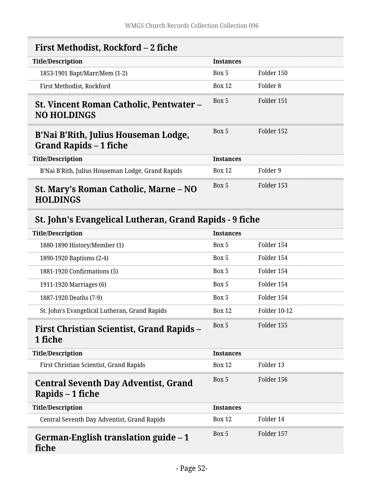<span id="page-51-1"></span><span id="page-51-0"></span>

| First Methodist, Rockford – 2 fiche                                   |                  |            |
|-----------------------------------------------------------------------|------------------|------------|
| <b>Title/Description</b>                                              | <b>Instances</b> |            |
| 1853-1901 Bapt/Marr/Mem (1-2)                                         | Box 5            | Folder 150 |
| First Methodist, Rockford                                             | <b>Box 12</b>    | Folder 8   |
| <b>St. Vincent Roman Catholic, Pentwater –</b><br><b>NO HOLDINGS</b>  | Box 5            | Folder 151 |
| B'Nai B'Rith, Julius Houseman Lodge,<br><b>Grand Rapids – 1 fiche</b> | Box 5            | Folder 152 |
| <b>Title/Description</b>                                              | <b>Instances</b> |            |
| B'Nai B'Rith, Julius Houseman Lodge, Grand Rapids                     | <b>Box 12</b>    | Folder 9   |
| St. Mary's Roman Catholic, Marne – NO<br><b>HOLDINGS</b>              | Box 5            | Folder 153 |

# <span id="page-51-4"></span><span id="page-51-3"></span><span id="page-51-2"></span>**St. John's Evangelical Lutheran, Grand Rapids - 9 fiche**

<span id="page-51-7"></span><span id="page-51-6"></span><span id="page-51-5"></span>

| <b>Title/Description</b>                                        | <b>Instances</b> |                     |
|-----------------------------------------------------------------|------------------|---------------------|
| 1880-1890 History/Member (1)                                    | Box 5            | Folder 154          |
| 1890-1920 Baptisms (2-4)                                        | Box 5            | Folder 154          |
| 1881-1920 Confirmations (5)                                     | Box 5            | Folder 154          |
| 1911-1920 Marriages (6)                                         | Box 5            | Folder 154          |
| 1887-1920 Deaths (7-9)                                          | Box 5            | Folder 154          |
| St. John's Evangelical Lutheran, Grand Rapids                   | <b>Box 12</b>    | <b>Folder 10-12</b> |
| <b>First Christian Scientist, Grand Rapids –</b><br>1 fiche     | Box 5            | Folder 155          |
| <b>Title/Description</b>                                        | <b>Instances</b> |                     |
| First Christian Scientist, Grand Rapids                         | <b>Box 12</b>    | Folder 13           |
| <b>Central Seventh Day Adventist, Grand</b><br>Rapids – 1 fiche | Box 5            | Folder 156          |
| <b>Title/Description</b>                                        | <b>Instances</b> |                     |
| Central Seventh Day Adventist, Grand Rapids                     | <b>Box 12</b>    | Folder 14           |
| German-English translation guide – 1<br>fiche                   | Box 5            | Folder 157          |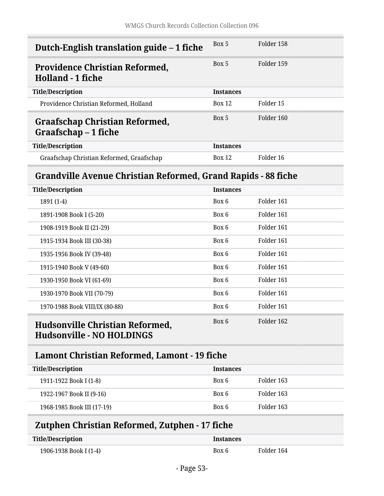<span id="page-52-1"></span><span id="page-52-0"></span>

| Dutch-English translation guide – 1 fiche                         | Box 5            | Folder 158 |
|-------------------------------------------------------------------|------------------|------------|
| <b>Providence Christian Reformed,</b><br><b>Holland - 1 fiche</b> | Box 5            | Folder 159 |
| <b>Title/Description</b>                                          | <b>Instances</b> |            |
| Providence Christian Reformed, Holland                            | Box 12           | Folder 15  |
| <b>Graafschap Christian Reformed,</b><br>Graafschap - 1 fiche     | Box 5            | Folder 160 |
| <b>Title/Description</b>                                          | <b>Instances</b> |            |
| Graafschap Christian Reformed, Graafschap                         | <b>Box 12</b>    | Folder 16  |

## <span id="page-52-3"></span><span id="page-52-2"></span>**Grandville Avenue Christian Reformed, Grand Rapids - 88 fiche**

| <b>Title/Description</b>                                            | <b>Instances</b> |            |
|---------------------------------------------------------------------|------------------|------------|
| 1891 (1-4)                                                          | Box 6            | Folder 161 |
| 1891-1908 Book I (5-20)                                             | Box 6            | Folder 161 |
| 1908-1919 Book II (21-29)                                           | Box 6            | Folder 161 |
| 1915-1934 Book III (30-38)                                          | Box 6            | Folder 161 |
| 1935-1956 Book IV (39-48)                                           | Box 6            | Folder 161 |
| 1915-1940 Book V (49-60)                                            | Box 6            | Folder 161 |
| 1930-1950 Book VI (61-69)                                           | Box 6            | Folder 161 |
| 1930-1970 Book VII (70-79)                                          | Box 6            | Folder 161 |
| 1970-1988 Book VIII/IX (80-88)                                      | Box 6            | Folder 161 |
| Hudsonville Christian Reformed,<br><b>Hudsonville - NO HOLDINGS</b> | Box 6            | Folder 162 |

## <span id="page-52-5"></span><span id="page-52-4"></span>**Lamont Christian Reformed, Lamont - 19 fiche**

| <b>Title/Description</b>   | <b>Instances</b> |            |
|----------------------------|------------------|------------|
| 1911-1922 Book I (1-8)     | Box 6            | Folder 163 |
| 1922-1967 Book II (9-16)   | Box 6            | Folder 163 |
| 1968-1985 Book III (17-19) | Box 6            | Folder 163 |

# <span id="page-52-6"></span>**Zutphen Christian Reformed, Zutphen - 17 fiche**

| <b>Title/Description</b> | <i><u><b>Instances</b></u></i> |            |
|--------------------------|--------------------------------|------------|
| 1906-1938 Book I (1-4)   | Box 6                          | Folder 164 |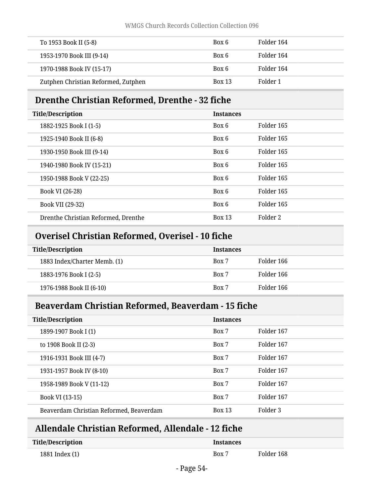| To 1953 Book II (5-8)               | Box 6         | Folder 164 |
|-------------------------------------|---------------|------------|
| 1953-1970 Book III (9-14)           | Box 6         | Folder 164 |
| 1970-1988 Book IV (15-17)           | Box 6         | Folder 164 |
| Zutphen Christian Reformed, Zutphen | <b>Box 13</b> | Folder 1   |

# <span id="page-53-0"></span>**Drenthe Christian Reformed, Drenthe - 32 fiche**

| <b>Title/Description</b>            | <b>Instances</b> |            |
|-------------------------------------|------------------|------------|
| 1882-1925 Book I (1-5)              | Box 6            | Folder 165 |
| 1925-1940 Book II (6-8)             | Box 6            | Folder 165 |
| 1930-1950 Book III (9-14)           | Box 6            | Folder 165 |
| 1940-1980 Book IV (15-21)           | Box 6            | Folder 165 |
| 1950-1988 Book V (22-25)            | Box 6            | Folder 165 |
| Book VI (26-28)                     | Box 6            | Folder 165 |
| Book VII (29-32)                    | Box 6            | Folder 165 |
| Drenthe Christian Reformed, Drenthe | <b>Box 13</b>    | Folder 2   |

# <span id="page-53-1"></span>**Overisel Christian Reformed, Overisel - 10 fiche**

| <b>Title/Description</b>     | <b>Instances</b> |            |
|------------------------------|------------------|------------|
| 1883 Index/Charter Memb. (1) | Box 7            | Folder 166 |
| 1883-1976 Book I (2-5)       | Box 7            | Folder 166 |
| 1976-1988 Book II (6-10)     | Box 7            | Folder 166 |

## <span id="page-53-2"></span>**Beaverdam Christian Reformed, Beaverdam - 15 fiche**

| <b>Title/Description</b>                | <b>Instances</b> |            |
|-----------------------------------------|------------------|------------|
| 1899-1907 Book I (1)                    | Box 7            | Folder 167 |
| to 1908 Book II (2-3)                   | Box 7            | Folder 167 |
| 1916-1931 Book III (4-7)                | Box 7            | Folder 167 |
| 1931-1957 Book IV (8-10)                | Box 7            | Folder 167 |
| 1958-1989 Book V (11-12)                | Box 7            | Folder 167 |
| Book VI (13-15)                         | Box 7            | Folder 167 |
| Beaverdam Christian Reformed, Beaverdam | <b>Box 13</b>    | Folder 3   |

# <span id="page-53-3"></span>**Allendale Christian Reformed, Allendale - 12 fiche**

| <b>Title/Description</b> | Instances |            |
|--------------------------|-----------|------------|
| 1881 Index (1)           | Box 7     | Folder 168 |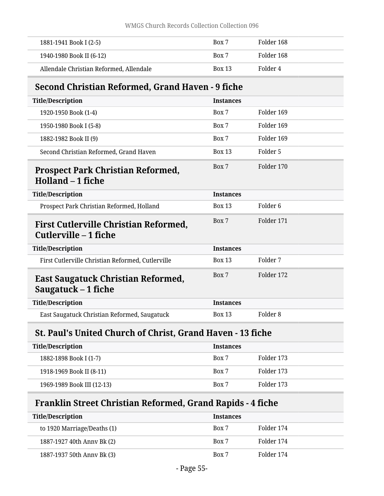| 1881-1941 Book I (2-5)                  | Box 7         | Folder 168 |
|-----------------------------------------|---------------|------------|
| 1940-1980 Book II (6-12)                | Box 7         | Folder 168 |
| Allendale Christian Reformed, Allendale | <b>Box 13</b> | Folder 4   |

# <span id="page-54-0"></span>**Second Christian Reformed, Grand Haven - 9 fiche**

<span id="page-54-1"></span>

| <b>Title/Description</b>                                              | <b>Instances</b> |                     |
|-----------------------------------------------------------------------|------------------|---------------------|
| 1920-1950 Book (1-4)                                                  | Box 7            | Folder 169          |
| 1950-1980 Book I (5-8)                                                | Box 7            | Folder 169          |
| 1882-1982 Book II (9)                                                 | Box 7            | Folder 169          |
| Second Christian Reformed, Grand Haven                                | <b>Box 13</b>    | Folder 5            |
| <b>Prospect Park Christian Reformed,</b><br>Holland – 1 fiche         | Box 7            | Folder 170          |
| <b>Title/Description</b>                                              | <b>Instances</b> |                     |
| Prospect Park Christian Reformed, Holland                             | <b>Box 13</b>    | Folder <sub>6</sub> |
| <b>First Cutlerville Christian Reformed,</b><br>Cutlerville – 1 fiche | Box 7            | Folder 171          |
| <b>Title/Description</b>                                              | <b>Instances</b> |                     |
| First Cutlerville Christian Reformed, Cutlerville                     | <b>Box 13</b>    | Folder 7            |
| East Saugatuck Christian Reformed,<br>Saugatuck $-1$ fiche            | Box 7            | Folder 172          |
| <b>Title/Description</b>                                              | <b>Instances</b> |                     |
| East Saugatuck Christian Reformed, Saugatuck                          | <b>Box 13</b>    | Folder <sub>8</sub> |

# <span id="page-54-4"></span><span id="page-54-3"></span><span id="page-54-2"></span>**St. Paul's United Church of Christ, Grand Haven - 13 fiche**

| <b>Title/Description</b>   | <b>Instances</b> |            |
|----------------------------|------------------|------------|
| 1882-1898 Book I (1-7)     | Box 7            | Folder 173 |
| 1918-1969 Book II (8-11)   | Box 7            | Folder 173 |
| 1969-1989 Book III (12-13) | Box 7            | Folder 173 |

# <span id="page-54-5"></span>**Franklin Street Christian Reformed, Grand Rapids - 4 fiche**

| <b>Title/Description</b>    | <b>Instances</b> |            |
|-----------------------------|------------------|------------|
| to 1920 Marriage/Deaths (1) | Box 7            | Folder 174 |
| 1887-1927 40th Anny Bk (2)  | Box 7            | Folder 174 |
| 1887-1937 50th Anny Bk (3)  | Box 7            | Folder 174 |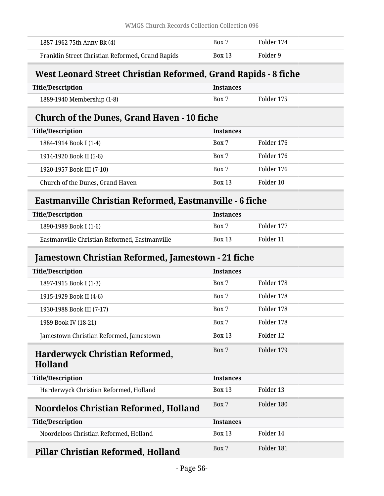| 1887-1962 75th Anny Bk (4)                       | Box 7         | Folder 174 |
|--------------------------------------------------|---------------|------------|
| Franklin Street Christian Reformed, Grand Rapids | <b>Box 13</b> | Folder 9   |

# <span id="page-55-0"></span>**West Leonard Street Christian Reformed, Grand Rapids - 8 fiche**

| <b>Title/Description</b>   | <b>Instances</b> |            |
|----------------------------|------------------|------------|
| 1889-1940 Membership (1-8) | Box 7            | Folder 175 |

# <span id="page-55-1"></span>**Church of the Dunes, Grand Haven - 10 fiche**

| <b>Title/Description</b>         | <b>Instances</b> |            |
|----------------------------------|------------------|------------|
| 1884-1914 Book I (1-4)           | Box 7            | Folder 176 |
| 1914-1920 Book II (5-6)          | Box 7            | Folder 176 |
| 1920-1957 Book III (7-10)        | Box 7            | Folder 176 |
| Church of the Dunes, Grand Haven | <b>Box 13</b>    | Folder 10  |

## <span id="page-55-2"></span>**Eastmanville Christian Reformed, Eastmanville - 6 fiche**

| Title/Description                             | <b>Instances</b> |            |
|-----------------------------------------------|------------------|------------|
| 1890-1989 Book I (1-6)                        | Box 7            | Folder 177 |
| Eastmanville Christian Reformed, Eastmanville | <b>Box 13</b>    | Folder 11  |

## <span id="page-55-3"></span>**Jamestown Christian Reformed, Jamestown - 21 fiche**

<span id="page-55-6"></span><span id="page-55-5"></span><span id="page-55-4"></span>

| <b>Title/Description</b>                         | <b>Instances</b> |            |
|--------------------------------------------------|------------------|------------|
| 1897-1915 Book I (1-3)                           | Box 7            | Folder 178 |
| 1915-1929 Book II (4-6)                          | Box 7            | Folder 178 |
| 1930-1988 Book III (7-17)                        | Box 7            | Folder 178 |
| 1989 Book IV (18-21)                             | Box 7            | Folder 178 |
| Jamestown Christian Reformed, Jamestown          | <b>Box 13</b>    | Folder 12  |
| Harderwyck Christian Reformed,<br><b>Holland</b> | Box 7            | Folder 179 |
| <b>Title/Description</b>                         | <b>Instances</b> |            |
| Harderwyck Christian Reformed, Holland           | <b>Box 13</b>    | Folder 13  |
| <b>Noordelos Christian Reformed, Holland</b>     | Box 7            | Folder 180 |
| <b>Title/Description</b>                         | <b>Instances</b> |            |
| Noordeloos Christian Reformed, Holland           | <b>Box 13</b>    | Folder 14  |
| Pillar Christian Reformed, Holland               | Box 7            | Folder 181 |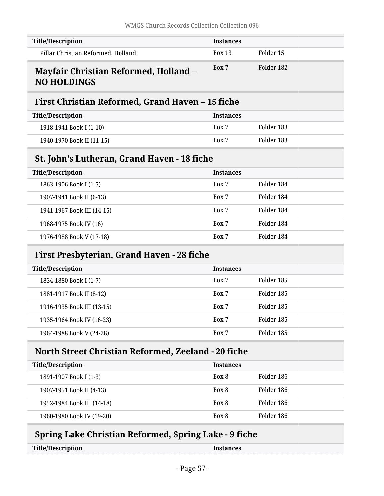| <b>Title/Description</b>                                           | <b>Instances</b> |            |
|--------------------------------------------------------------------|------------------|------------|
| Pillar Christian Reformed, Holland                                 | <b>Box 13</b>    | Folder 15  |
| <b>Mayfair Christian Reformed, Holland -</b><br><b>NO HOLDINGS</b> | Box 7            | Folder 182 |

# <span id="page-56-1"></span><span id="page-56-0"></span>**First Christian Reformed, Grand Haven – 15 fiche**

| Title/Description         | <b>Instances</b> |            |
|---------------------------|------------------|------------|
| 1918-1941 Book I (1-10)   | Box 7            | Folder 183 |
| 1940-1970 Book II (11-15) | Box 7            | Folder 183 |

## <span id="page-56-2"></span>**St. John's Lutheran, Grand Haven - 18 fiche**

| <b>Title/Description</b>   | <b>Instances</b> |            |
|----------------------------|------------------|------------|
| 1863-1906 Book I (1-5)     | Box 7            | Folder 184 |
| 1907-1941 Book II (6-13)   | Box 7            | Folder 184 |
| 1941-1967 Book III (14-15) | Box 7            | Folder 184 |
| 1968-1975 Book IV (16)     | Box 7            | Folder 184 |
| 1976-1988 Book V (17-18)   | Box 7            | Folder 184 |

## <span id="page-56-3"></span>**First Presbyterian, Grand Haven - 28 fiche**

| <b>Title/Description</b>   | <b>Instances</b> |            |
|----------------------------|------------------|------------|
| 1834-1880 Book I (1-7)     | Box 7            | Folder 185 |
| 1881-1917 Book II (8-12)   | Box 7            | Folder 185 |
| 1916-1935 Book III (13-15) | Box 7            | Folder 185 |
| 1935-1964 Book IV (16-23)  | Box 7            | Folder 185 |
| 1964-1988 Book V (24-28)   | Box 7            | Folder 185 |

## <span id="page-56-4"></span>**North Street Christian Reformed, Zeeland - 20 fiche**

| <b>Title/Description</b>   | <b>Instances</b> |            |
|----------------------------|------------------|------------|
| 1891-1907 Book I (1-3)     | Box 8            | Folder 186 |
| 1907-1951 Book II (4-13)   | Box 8            | Folder 186 |
| 1952-1984 Book III (14-18) | Box 8            | Folder 186 |
| 1960-1980 Book IV (19-20)  | Box 8            | Folder 186 |
|                            |                  |            |

# <span id="page-56-5"></span>**Spring Lake Christian Reformed, Spring Lake - 9 fiche**

**Instances**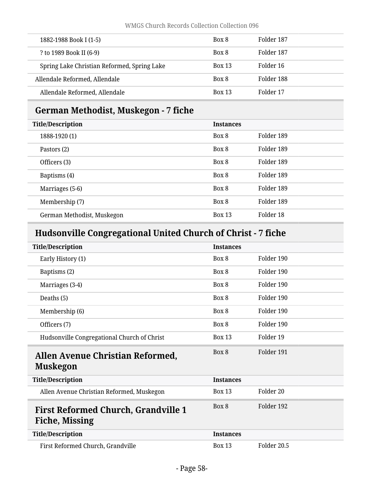| 1882-1988 Book I (1-5)                      | Box 8         | Folder 187 |
|---------------------------------------------|---------------|------------|
| ? to 1989 Book II (6-9)                     | Box 8         | Folder 187 |
| Spring Lake Christian Reformed, Spring Lake | <b>Box 13</b> | Folder 16  |
| Allendale Reformed, Allendale               | Box 8         | Folder 188 |
| Allendale Reformed, Allendale               | <b>Box 13</b> | Folder 17  |

# <span id="page-57-0"></span>**German Methodist, Muskegon - 7 fiche**

| <b>Title/Description</b>   | <b>Instances</b> |            |
|----------------------------|------------------|------------|
| 1888-1920 (1)              | Box 8            | Folder 189 |
| Pastors (2)                | Box 8            | Folder 189 |
| Officers (3)               | Box 8            | Folder 189 |
| Baptisms (4)               | Box 8            | Folder 189 |
| Marriages (5-6)            | Box 8            | Folder 189 |
| Membership (7)             | Box 8            | Folder 189 |
| German Methodist, Muskegon | <b>Box 13</b>    | Folder 18  |

# <span id="page-57-1"></span>**Hudsonville Congregational United Church of Christ - 7 fiche**

<span id="page-57-3"></span><span id="page-57-2"></span>

| <b>Title/Description</b>                                     | <b>Instances</b> |                      |
|--------------------------------------------------------------|------------------|----------------------|
| Early History (1)                                            | Box 8            | Folder 190           |
| Baptisms (2)                                                 | Box 8            | Folder 190           |
| Marriages (3-4)                                              | Box 8            | Folder 190           |
| Deaths (5)                                                   | Box 8            | Folder 190           |
| Membership (6)                                               | Box 8            | Folder 190           |
| Officers (7)                                                 | Box 8            | Folder 190           |
| Hudsonville Congregational Church of Christ                  | <b>Box 13</b>    | Folder 19            |
|                                                              |                  |                      |
| Allen Avenue Christian Reformed,<br>Muskegon                 | Box 8            | Folder 191           |
| <b>Title/Description</b>                                     | <b>Instances</b> |                      |
| Allen Avenue Christian Reformed, Muskegon                    | <b>Box 13</b>    | Folder <sub>20</sub> |
| <b>First Reformed Church, Grandville 1</b><br>Fiche, Missing | Box 8            | Folder 192           |
| <b>Title/Description</b>                                     | <b>Instances</b> |                      |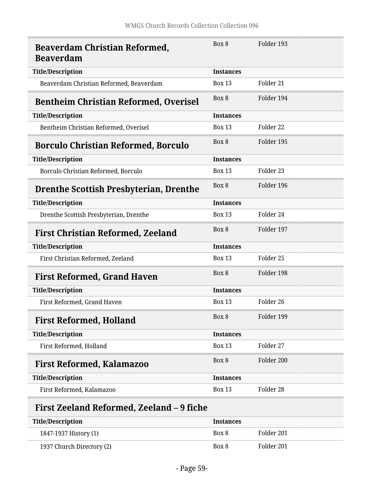<span id="page-58-3"></span><span id="page-58-2"></span><span id="page-58-1"></span><span id="page-58-0"></span>

| <b>Beaverdam Christian Reformed,</b><br><b>Beaverdam</b> | Box 8            | Folder 193           |
|----------------------------------------------------------|------------------|----------------------|
| <b>Title/Description</b>                                 | <b>Instances</b> |                      |
| Beaverdam Christian Reformed, Beaverdam                  | <b>Box 13</b>    | Folder <sub>21</sub> |
| <b>Bentheim Christian Reformed, Overisel</b>             | Box 8            | Folder 194           |
| <b>Title/Description</b>                                 | <b>Instances</b> |                      |
| Bentheim Christian Reformed, Overisel                    | <b>Box 13</b>    | Folder 22            |
| <b>Borculo Christian Reformed, Borculo</b>               | Box 8            | Folder 195           |
| <b>Title/Description</b>                                 | <b>Instances</b> |                      |
| Borculo Christian Reformed, Borculo                      | <b>Box 13</b>    | Folder <sub>23</sub> |
| <b>Drenthe Scottish Presbyterian, Drenthe</b>            | Box 8            | Folder 196           |
| <b>Title/Description</b>                                 | <b>Instances</b> |                      |
| Drenthe Scottish Presbyterian, Drenthe                   | <b>Box 13</b>    | Folder 24            |
| <b>First Christian Reformed, Zeeland</b>                 | Box 8            | Folder 197           |
| <b>Title/Description</b>                                 | <b>Instances</b> |                      |
| First Christian Reformed, Zeeland                        | <b>Box 13</b>    | Folder 25            |
| <b>First Reformed, Grand Haven</b>                       | Box 8            | Folder 198           |
| <b>Title/Description</b>                                 | <b>Instances</b> |                      |
| First Reformed, Grand Haven                              | <b>Box 13</b>    | Folder 26            |
| <b>First Reformed, Holland</b>                           | Box 8            | Folder 199           |
| <b>Title/Description</b>                                 | <b>Instances</b> |                      |
| First Reformed, Holland                                  | <b>Box 13</b>    | Folder 27            |
| <b>First Reformed, Kalamazoo</b>                         | Box 8            | Folder 200           |
| <b>Title/Description</b>                                 | <b>Instances</b> |                      |
| First Reformed, Kalamazoo                                | <b>Box 13</b>    | Folder 28            |

# <span id="page-58-8"></span><span id="page-58-7"></span><span id="page-58-6"></span><span id="page-58-5"></span><span id="page-58-4"></span>**First Zeeland Reformed, Zeeland – 9 fiche**

| Title/Description         | <b>Instances</b> |            |
|---------------------------|------------------|------------|
| 1847-1937 History (1)     | Box 8            | Folder 201 |
| 1937 Church Directory (2) | Box 8            | Folder 201 |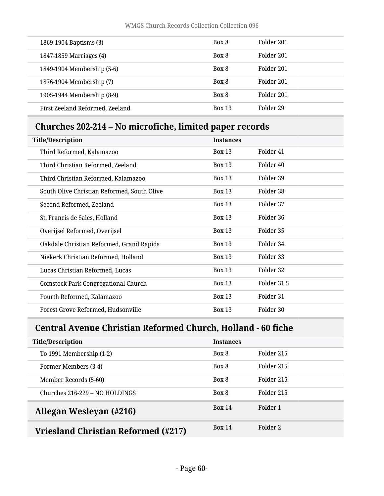| 1869-1904 Baptisms (3)          | Box 8         | Folder 201 |
|---------------------------------|---------------|------------|
| 1847-1859 Marriages (4)         | Box 8         | Folder 201 |
| 1849-1904 Membership (5-6)      | Box 8         | Folder 201 |
| 1876-1904 Membership (7)        | Box 8         | Folder 201 |
| 1905-1944 Membership (8-9)      | Box 8         | Folder 201 |
| First Zeeland Reformed, Zeeland | <b>Box 13</b> | Folder 29  |

# <span id="page-59-0"></span>**Churches 202-214 – No microfiche, limited paper records**

| <b>Title/Description</b><br><b>Instances</b> |               |                      |
|----------------------------------------------|---------------|----------------------|
| Third Reformed, Kalamazoo                    | <b>Box 13</b> | Folder <sub>41</sub> |
| Third Christian Reformed, Zeeland            | <b>Box 13</b> | Folder <sub>40</sub> |
| Third Christian Reformed, Kalamazoo          | <b>Box 13</b> | Folder 39            |
| South Olive Christian Reformed, South Olive  | <b>Box 13</b> | Folder 38            |
| Second Reformed, Zeeland                     | <b>Box 13</b> | Folder 37            |
| St. Francis de Sales, Holland                | <b>Box 13</b> | Folder 36            |
| Overijsel Reformed, Overijsel                | <b>Box 13</b> | Folder 35            |
| Oakdale Christian Reformed, Grand Rapids     | <b>Box 13</b> | Folder 34            |
| Niekerk Christian Reformed, Holland          | <b>Box 13</b> | Folder 33            |
| Lucas Christian Reformed, Lucas              | <b>Box 13</b> | Folder 32            |
| <b>Comstock Park Congregational Church</b>   | <b>Box 13</b> | Folder 31.5          |
| Fourth Reformed, Kalamazoo                   | <b>Box 13</b> | Folder 31            |
| Forest Grove Reformed, Hudsonville           | <b>Box 13</b> | Folder 30            |

# <span id="page-59-1"></span>**Central Avenue Christian Reformed Church, Holland - 60 fiche**

<span id="page-59-3"></span><span id="page-59-2"></span>

| <b>Title/Description</b>            | <b>Instances</b> |            |
|-------------------------------------|------------------|------------|
| To 1991 Membership (1-2)            | Box 8            | Folder 215 |
| Former Members (3-4)                | Box 8            | Folder 215 |
| Member Records (5-60)               | Box 8            | Folder 215 |
| Churches 216-229 – NO HOLDINGS      | Box 8            | Folder 215 |
| Allegan Wesleyan (#216)             | <b>Box 14</b>    | Folder 1   |
| Vriesland Christian Reformed (#217) | Box 14           | Folder 2   |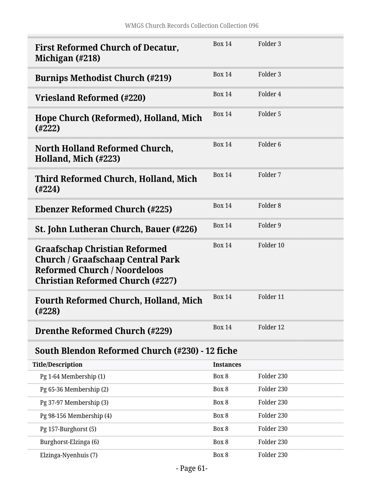<span id="page-60-11"></span><span id="page-60-10"></span><span id="page-60-9"></span><span id="page-60-8"></span><span id="page-60-7"></span><span id="page-60-6"></span><span id="page-60-5"></span><span id="page-60-4"></span><span id="page-60-3"></span><span id="page-60-2"></span><span id="page-60-1"></span><span id="page-60-0"></span>

| <b>First Reformed Church of Decatur,</b><br>Michigan (#218)                                                                                                        | <b>Box 14</b>    | Folder 3            |
|--------------------------------------------------------------------------------------------------------------------------------------------------------------------|------------------|---------------------|
| <b>Burnips Methodist Church (#219)</b>                                                                                                                             | <b>Box 14</b>    | Folder 3            |
| Vriesland Reformed (#220)                                                                                                                                          | <b>Box 14</b>    | Folder 4            |
| Hope Church (Reformed), Holland, Mich<br>(4222)                                                                                                                    | <b>Box 14</b>    | Folder 5            |
| North Holland Reformed Church,<br>Holland, Mich (#223)                                                                                                             | <b>Box 14</b>    | Folder <sub>6</sub> |
| Third Reformed Church, Holland, Mich<br>(#224)                                                                                                                     | <b>Box 14</b>    | Folder 7            |
| <b>Ebenzer Reformed Church (#225)</b>                                                                                                                              | <b>Box 14</b>    | Folder <sub>8</sub> |
| St. John Lutheran Church, Bauer (#226)                                                                                                                             | <b>Box 14</b>    | Folder 9            |
| <b>Graafschap Christian Reformed</b><br><b>Church / Graafschaap Central Park</b><br><b>Reformed Church / Noordeloos</b><br><b>Christian Reformed Church (#227)</b> | <b>Box 14</b>    | Folder 10           |
| <b>Fourth Reformed Church, Holland, Mich</b><br>(4228)                                                                                                             | <b>Box 14</b>    | Folder 11           |
| <b>Drenthe Reformed Church (#229)</b>                                                                                                                              | <b>Box 14</b>    | Folder 12           |
| South Blendon Reformed Church (#230) - 12 fiche                                                                                                                    |                  |                     |
| <b>Title/Description</b>                                                                                                                                           | <b>Instances</b> |                     |
| Pg 1-64 Membership (1)                                                                                                                                             | Box 8            | Folder 230          |
| Pg 65-36 Membership (2)                                                                                                                                            | Box 8            | Folder 230          |
| Pg 37-97 Membership (3)                                                                                                                                            | Box 8            | Folder 230          |
| Pg 98-156 Membership (4)                                                                                                                                           | Box 8            | Folder 230          |
| Pg 157-Burghorst (5)                                                                                                                                               | Box 8            | Folder 230          |
| Burghorst-Elzinga (6)                                                                                                                                              | Box 8            | Folder 230          |
| Elzinga-Nyenhuis (7)                                                                                                                                               | Box 8            | Folder 230          |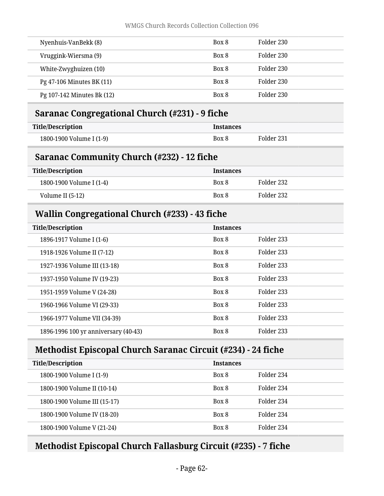| Nyenhuis-VanBekk (8)       | Box 8 | Folder 230 |
|----------------------------|-------|------------|
| Vruggink-Wiersma (9)       | Box 8 | Folder 230 |
| White-Zwyghuizen (10)      | Box 8 | Folder 230 |
| Pg 47-106 Minutes BK (11)  | Box 8 | Folder 230 |
| Pg 107-142 Minutes Bk (12) | Box 8 | Folder 230 |
|                            |       |            |

## <span id="page-61-0"></span>**Saranac Congregational Church (#231) - 9 fiche**

| Title/Description        | Instances |            |
|--------------------------|-----------|------------|
| 1800-1900 Volume I (1-9) | Box 8     | Folder 231 |

## <span id="page-61-1"></span>**Saranac Community Church (#232) - 12 fiche**

| Title/Description        | <b>Instances</b> |            |
|--------------------------|------------------|------------|
| 1800-1900 Volume I (1-4) | Box 8            | Folder 232 |
| Volume II (5-12)         | Box 8            | Folder 232 |

## <span id="page-61-2"></span>**Wallin Congregational Church (#233) - 43 fiche**

| <b>Title/Description</b>             | <b>Instances</b> |            |
|--------------------------------------|------------------|------------|
| 1896-1917 Volume I (1-6)             | Box 8            | Folder 233 |
| 1918-1926 Volume II (7-12)           | Box 8            | Folder 233 |
| 1927-1936 Volume III (13-18)         | Box 8            | Folder 233 |
| 1937-1950 Volume IV (19-23)          | Box 8            | Folder 233 |
| 1951-1959 Volume V (24-28)           | Box 8            | Folder 233 |
| 1960-1966 Volume VI (29-33)          | Box 8            | Folder 233 |
| 1966-1977 Volume VII (34-39)         | Box 8            | Folder 233 |
| 1896-1996 100 yr anniversary (40-43) | Box 8            | Folder 233 |

# <span id="page-61-3"></span>**Methodist Episcopal Church Saranac Circuit (#234) - 24 fiche**

| <b>Title/Description</b>     | <b>Instances</b> |            |
|------------------------------|------------------|------------|
| 1800-1900 Volume I (1-9)     | Box 8            | Folder 234 |
| 1800-1900 Volume II (10-14)  | Box 8            | Folder 234 |
| 1800-1900 Volume III (15-17) | Box 8            | Folder 234 |
| 1800-1900 Volume IV (18-20)  | Box 8            | Folder 234 |
| 1800-1900 Volume V (21-24)   | Box 8            | Folder 234 |

# <span id="page-61-4"></span>**Methodist Episcopal Church Fallasburg Circuit (#235) - 7 fiche**